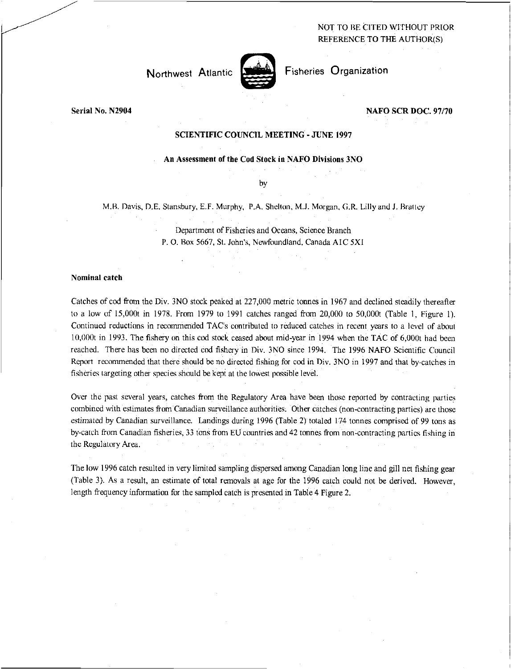NOT TO BE CITED WITHOUT PRIOR REFERENCE TO THE AUTHOR(S)



Northwest Atlantic Fisheries Organization

**Serial No. N2904 NAFO SCR DOC. 97/70** 

## **SCIENTIFIC COUNCIL MEETING - JUNE 1997**

# **An Assessment of the Cod Stock in NAFO Divisions 3NO**

by

M.B. Davis, D.E. Stansbury, E.F. Murphy, P.A. Shelton, M.J. Morgan, G.R. Lilly and J. Brattey

Department of Fisheries and Oceans, Science Branch P. 0. Box 5667, St. John's, Newfoundland, Canada A IC 5X1

### **Nominal catch**

Catches of cod from the Div. 3N0 stock peaked at 227,000 metric tonnes in 1967 and declined steadily thereafter to a low of 15,000t in 1978. From 1979 to 1991 catches ranged from 20,000 to 50,000t (Table 1, Figure 1). Continued reductions in recommended TAC's contributed to reduced catches in recent years to a level of about 10,000t in 1993. The fishery on this cod stock ceased about mid-year in 1994 when the TAC of 6,000t had been reached. There has been no directed cod fishery in Div. 3N0 since 1994. The 1996 NAFO Scientific Council Report recommended that there should be no directed fishing for cod in Div. 3NO in 1997 and that by-catches in fisheries targeting other species should be kept at the lowest possible level.

Over the past several years, catches from the Regulatory Area have been those reported by contracting parties combined with estimates from Canadian surveillance authorities. Other catches (non-contracting parties) are those *estimated* by Canadian surveillance. Landings during 1996 (Table 2) totaled 174 tonnes comprised of 99 tons as by-catch from Canadian fisheries, 33 tons from EU countries and 42 tonnes from non-contracting parties fishing in the Regulatory Area.

The low 1996 catch resulted in very limited sampling dispersed among Canadian long line and gill net fishing gear (Table 3). As a result, an estimate of total removals at age for the 1996 catch could not be derived. However, length frequency information for the sampled catch is presented in Table 4 Figure 2.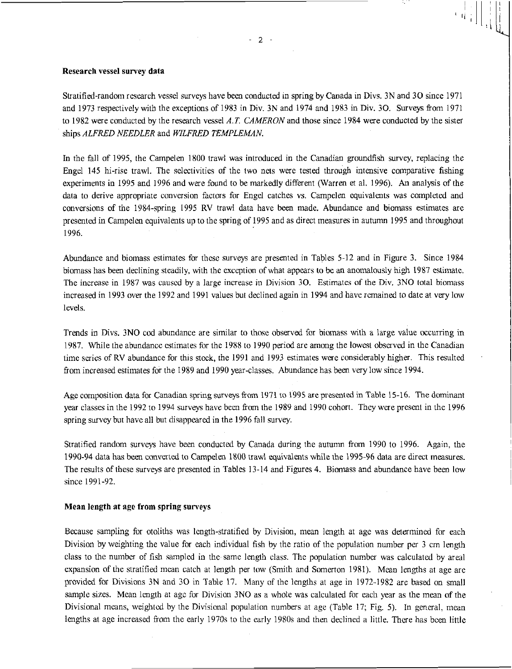### Research vessel survey data

Stratified-random research vessel surveys have been conducted in spring by Canada in Divs. 3N and 30 since 1971 and 1973 respectively with the exceptions of 1983 in Div. 3N and 1974 and 1983 in Div. 30. Surveys from 1971 to 1982 were conducted by the research vessel *A.T. CAMERON* and those since 1984 were conducted by the sister ships *ALFRED NEEDLER* and *WILFRED TEMPLEMAN.* 

In the fall of 1995, the Campelen 1800 trawl was introduced in the Canadian groundfish survey, replacing the Engel 145 hi-rise trawl. The selectivities of the two nets were tested through intensive comparative fishing experiments in 1995 and 1996 and were found to be markedly different (Warren et al. 1996). An analysis of the data to derive appropriate conversion factors for Engel catches vs. Campelen equivalents was completed and conversions of the 1984-spring 1995 RV trawl data have been made. Abundance and biomass estimates are presented in Campelen equivalents up to the spring of 1995 and as direct measures in autumn 1995 and throughout 1996.

Abundance and biomass estimates for these surveys are presented in Tables 5-12 and in Figure 3. Since 1984 biomass has been declining steadily, with the exception of what appears to be an anomalously high 1987 estimate. The increase in 1987 was caused by a large increase in Division 30. Estimates of the Div. 3NO total biomass increased in 1993 over the 1992 and 1991 values but declined again in 1994 and have remained to date at very low levels.

Trends in Divs. 3NO cod abundance are similar to those observed for biomass with a large value occurring in 1987. While the abundance estimates for the 1988 to 1990 period are among the lowest observed in the Canadian time series of RV abundance for this stock, the 1991 and 1993 estimates were considerably higher. This resulted from increased estimates for the 1989 and 1990 year-classes. Abundance has been very low since 1994.

Age composition data for Canadian spring surveys from 1971 to 1995 are presented in Table 15-16. The dominant year classes in the 1992 to 1994 surveys have been from the 1989 and 1990 cohort. They were present in the 1996 spring survey but have all but disappeared in the 1996 fall survey.

Stratified random surveys have been conducted by Canada during the autumn from 1990 to 1996. Again, the 1990-94 data has been converted to Campelen 1800 trawl equivalents while the 1995-96 data are direct measures. The results of these surveys are presented in Tables 13-14 and Figures 4. Biomass and abundance have been low since 1991-92.

## Mean length at age from spring surveys

Because sampling for otoliths was length-stratified by Division, mean length at age was determined for each Division by weighting the value for each individual fish by the ratio of the population number per 3 cm length class to the number of fish sampled in the same length class. The population number was calculated by areal expansion of the stratified mean catch at length per tow (Smith and Somerton 1981). Mean lengths at age are provided for Divisions 3N and 30 in Table 17. Many of the lengths at age in 1972-1982 are based on small sample sizes. Mean length at age for Division 3NO as a whole was calculated for each year as the mean of the Divisional means, weighted by the Divisional population numbers at age (Table 17; Fig. 5). In general, mean lengths at age increased from the early 1970s to the early 1980s and then declined a little. There has been little

 $\begin{array}{c} \begin{array}{c} \begin{array}{c} \end{array} \\ \begin{array}{c} \end{array} \\ \begin{array}{c} \end{array} \\ \begin{array}{c} \end{array} \end{array} \end{array}$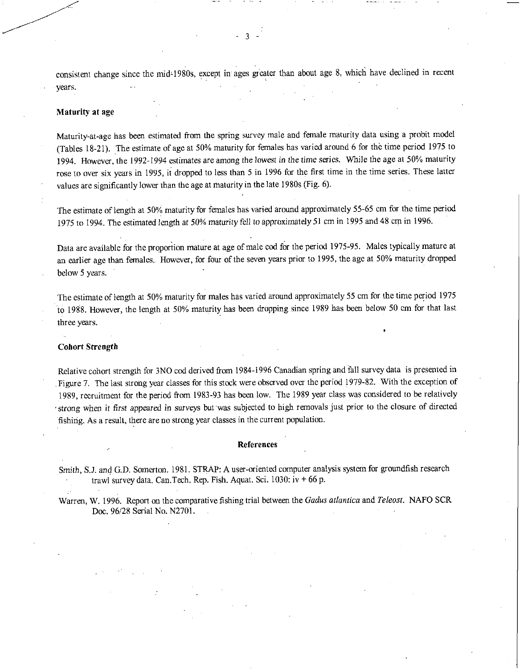consistent change since the mid-1980s, except in ages greater than about age 8, which have declined in recent years.

- 3

### Maturity at age

Maturity-at-age has been estimated from the spring survey male and female maturity data using a probit model (Tables 18-21). The estimate of age at 50% maturity for females has varied around 6 for the time period 1975 to 1994. However, the 1992-1994 estimates are among the *lowest* in the *time* series. While the age at 50% maturity rose to over six years in 1995, it dropped to less than 5 in 1996 for the first time in the time series. These latter values are significantly lower than the age at maturity in the late 1980s (Fig. 6).

The estimate of length at 50% maturity for females has varied around approximately 55-65 cm for the time period 1975 to 1994. The estimated length at 50% *maturity* fell to approximately 51 cm in 1995 and 48 cm in 1996.

Data are available for the proportion mature at age of male cod for the period 1975-95. Males typically mature at an earlier age than females.. However, for four of the seven years prior to 1995, the age at 50% maturity dropped below 5 years.

The estimate of length at 50% maturity for males has varied around approximately 55 cm for the time period 1975 to 1988. However, the length at 50% maturity has been dropping since 1989 has been below 50 cm for that last three years.

#### Cohort Strength

Relative cohort strength for 3NO cod derived from 1984-1996 Canadian spring and fall survey data is presented in Figure 7. The last strong year classes for this stock were observed over the period 1979-82. With the exception of 1989, recruitment for the period from 1983-93 has been low. The 1989 year class was considered to be relatively strong when it first *appeared* in surveys but was subjected to high removals just prior to the closure of directed fishing. As a result, there are no strong year classes in the current population.

#### References

Smith, S.J. and G.D. Somerton. 1981. STRAP: A user-oriented computer analysis system for groundfish research trawl survey data. Can. Tech. Rep. Fish. Aquat. Sci.  $1030$ : iv  $+66$  p.

Warren, W. 1996. Report on the comparative fishing trial between the *Gadus atlantica* and *Teleost.* NAFO SCR Doc. 96/28 Serial No. N2701.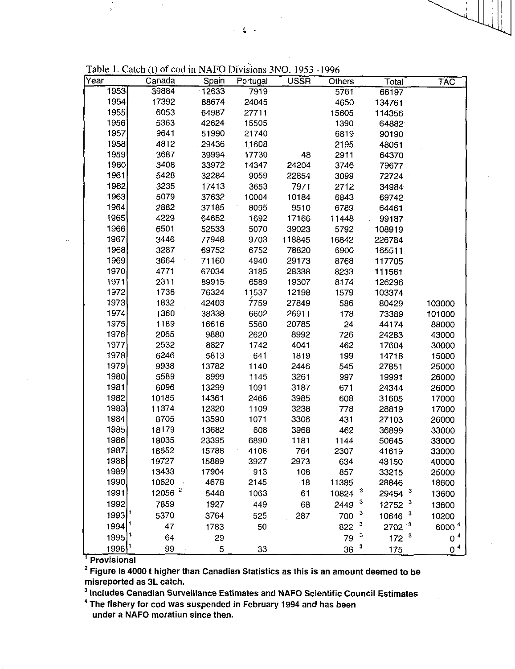| Year                | Canada         | Spain  | Portugal | <b>USSR</b> | Others     | Total            | TAC            |
|---------------------|----------------|--------|----------|-------------|------------|------------------|----------------|
| 1953                | 39884          | 12633  | 7919     |             | 5761       | 66197            |                |
| 1954                | 17392          | 88674  | 24045    |             | 4650       | 134761           |                |
| 1955                | 6053           | 64987  | 27711    |             | 15605      | 114356           |                |
| 1956                | 5363           | 42624  | 15505    |             | 1390       | 64882            |                |
| 1957                | 9641           | 51990  | 21740    |             | 6819       | 90190            |                |
| 1958                | 4812           | .29436 | 11608    |             | 2195       | 48051            |                |
| 1959                | 3687           | 39994  | 17730    | 48          | 2911       | 64370            |                |
| 1960                | 3408           | 33972  | 14347    | 24204       | 3746       | 79677            |                |
| 1961                | 5428           | 32284  | 9059     | 22854       | 3099       | 72724            |                |
| 1962                | 3235           | 17413  | 3653     | 7971        | 2712       | 34984            |                |
| 1963                | 5079           | 37632  | 10004    | 10184       | 6843       | 69742            |                |
| 1964                | 2882           | 37185  | 8095     | 9510        | 6789       | 64461            |                |
| 1965                | 4229           | 64652  | 1692     | 17166       | 11448      | 99187            |                |
| 1966                | 6501           | 52533  | 5070     | 39023       | 5792       | 108919           |                |
| 1967                | 3446           | 77948  | 9703     | 118845      | 16842      | 226784           |                |
| 1968                | 3287           | 69752  | 6752     | 78820       | 6900       | 165511           |                |
| 1969                | 3664           | 71160  | 4940     | 29173       | 8768       | 117705           |                |
| 1970                | 4771           | 67034  | 3185     | 28338       | 8233       | 111561           |                |
| 1971                | 2311           | 89915  | 6589     | 19307       | 8174       | 126296           |                |
| 1972                | 1736           | 76324  | 11537    | 12198       | 1579       | 103374           |                |
| 1973                | 1832           | 42403  | 7759     | 27849       | 586        | 80429            | 103000         |
| 1974                | 1360           | 38338  | 6602     | 26911       | 178        | 73389            | 101000         |
| 1975                | 1189           | 16616  | 5560     | 20785       | 24         | 44174            | 88000          |
| 1976                | 2065           | 9880   | 2620     | 8992        | 726        | 24283            | 43000          |
| 1977                | 2532           | 8827   | 1742     | 4041        | 462        | 17604            | 30000          |
| 1978                | 6246           | 5813   | 641      | 1819        | 199        | 14718            | 15000          |
| 1979                | 9938           | 13782  | 1140     | 2446        | 545        | 27851            | 25000          |
| 1980                | 5589           | 8999   | 1145     | 3261        | 997.       | 19991            | 26000          |
| 1981                | 6096           | 13299  | 1091     | 3187        | 671        | 24344            | 26000          |
| 1982                | 10185          | 14361  | 2466     | 3985        | 608        | 31605            | 17000          |
| 1983                | 11374          | 12320  | 1109     | 3238        | 778        | 28819            | 17000          |
| 1984                | 8705           | 13590  | 1071     | 3306        | 431        | 27103            | 26000          |
| 1985                | 18179          | 13682  | 608      | 3968        | 462        | 36899            | 33000          |
| 1986                | 18035          | 23395  | 6890     | 1181        | 1144       | 50645            | 33000          |
| 1987                | 18652          | 15788  | 4108     | 764         | 2307       | 41619            | 33000          |
| 1988                | 19727          | 15889  | 3927     | 2973        | 634        | 43150            | 40000          |
| 1989                | 13433          | 17904  | 913      | 108         | 857        | 33215            | 25000          |
| 1990                | 10620          | 4678   | 2145     | $\cdot$ 18  | 11385      | 28846            | 18600          |
| 1991                | $12056$ $^{2}$ | 5448   | 1063     | 61          | 3<br>10824 | 3<br>29454       | 13600          |
| 1992                | 7859           | 1927   | 449      | 68          | 3<br>2449  | 3<br>12752       | 13600          |
| 1993                | 5370           | 3764   | 525      | 287         | 3<br>700   | 3<br>10646       | 10200          |
| 1994                | 47             | 1783   | 50       |             | 3<br>822   | $2702^{-3}$      | 60004          |
| $1995$ <sup>1</sup> | 64             | 29     |          |             | 3<br>79    | 172 <sup>3</sup> | 0 <sup>4</sup> |
| 1996                | 99             | 5      | 33       |             | 3<br>38    | 175              | 0 <sup>4</sup> |

**Provisional** 

<sup>2</sup>**Figure is 4000 t higher than Canadian Statistics as this is an amount deemed to be misreported as 3L catch.** 

<sup>3</sup>**Includes Canadian Surveillance Estimates and NAFO Scientific Council Estimates** 

<sup>4</sup>**The fishery for cod was suspended in February 1994 and has been under a NAFO moratiun since then.**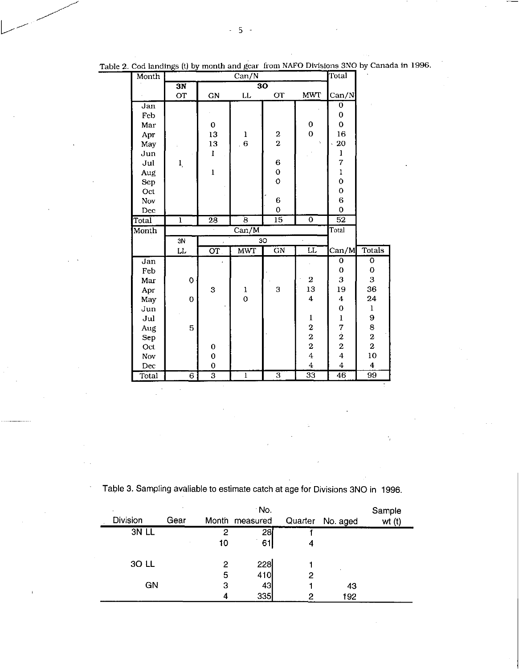| Month      |                           |                                                     | Can/N                     |                           |                                   | Total                                      |                         |
|------------|---------------------------|-----------------------------------------------------|---------------------------|---------------------------|-----------------------------------|--------------------------------------------|-------------------------|
|            | $\overline{\text{3N}}$    |                                                     | $\overline{{\bf 30}}$     |                           |                                   |                                            |                         |
|            | <b>OT</b>                 | GN                                                  | LL                        | <b>OT</b>                 | <b>MWT</b>                        | Can/N                                      |                         |
| Jan        |                           |                                                     |                           |                           |                                   | 0                                          |                         |
| Feb        |                           |                                                     |                           |                           |                                   | 0                                          |                         |
| Mar        |                           | 0                                                   |                           |                           | 0                                 | $\mathbf 0$                                |                         |
| Apr        |                           | 13                                                  | ı                         | $\bf{2}$                  | $\overline{O}$                    | 16                                         |                         |
| May        |                           | 13                                                  | 6 <sub>6</sub>            | $\overline{2}$            | t,                                | 20<br>k.                                   |                         |
| Jun        |                           | Ì                                                   |                           |                           |                                   | $\mathbf l$                                |                         |
| Jul        | $\mathbf{l}_{\mathrm{r}}$ |                                                     |                           | $\bf 6$                   |                                   | 7                                          |                         |
| Aug        |                           | $\mathbf{1}$                                        |                           | $\mathbf 0$               |                                   | $\mathbf{I}$                               |                         |
| Sep        |                           |                                                     |                           | $\mathbf{o}$              |                                   | $\mathbf 0$                                |                         |
| Oct        |                           |                                                     |                           |                           |                                   | $\mathbf 0$                                |                         |
| Nov        |                           |                                                     |                           | $\mathbf 6$               |                                   | $\bf 6$                                    |                         |
| Dec        |                           |                                                     |                           | $\mathbf 0$               |                                   | 0                                          |                         |
| Total      | $\mathbf{1}$              | $\overline{28}$                                     | $\overline{8}$            | $\overline{15}$           | $\overline{\mathfrak{o}}$         | $\overline{52}$                            |                         |
|            |                           |                                                     |                           |                           |                                   |                                            |                         |
| Month      |                           |                                                     | $\overline{\text{Can/M}}$ |                           |                                   | Total                                      |                         |
|            | $\overline{\frac{3N}{}}$  |                                                     |                           | 30                        |                                   |                                            |                         |
|            | LL                        | $\overline{\text{or}}$                              | <b>MWT</b>                | $\overline{GN}$           | $\overline{\mathbf{u}}$           | Can/M                                      | <b>Totals</b>           |
| Jan        |                           |                                                     |                           |                           |                                   | 0                                          | $\overline{0}$          |
| Feb        |                           |                                                     |                           |                           |                                   | 0                                          | 0                       |
| Mar        | $\overline{O}$            |                                                     |                           |                           | $\,2\,$                           | $\boldsymbol{\mathrm{3}}$                  | 3                       |
| Apr        |                           | 3                                                   | ı                         | 3                         | 13                                | 19                                         | 36                      |
| May        | $\mathbf 0$               |                                                     | $\mathbf 0$               |                           | $\boldsymbol{4}$                  | 4                                          | 24                      |
| Jun        |                           |                                                     |                           |                           |                                   | $\mathbf 0$                                | $\mathbf 1$             |
| Jul        |                           |                                                     |                           |                           | $\mathbf{l}$                      | $\bf{l}$                                   | 9                       |
|            | 5                         |                                                     |                           |                           |                                   | 7                                          | 8                       |
| Aug<br>Sep |                           |                                                     |                           |                           |                                   |                                            | $\overline{\mathbf{2}}$ |
| Oct        |                           | 0                                                   |                           |                           | $\frac{2}{2}$                     | $\frac{2}{2}$                              | $\mathbf 2$             |
| Nov        |                           | $\mathbf 0$                                         |                           |                           | $\overline{4}$                    | $\overline{\mathbf{4}}$                    | 10                      |
| Dec        |                           | $\mathbf 0$<br>$\overline{\overline{\overline{3}}}$ |                           | $\overline{\overline{3}}$ | $\overline{4}$<br>$\overline{33}$ | $\overline{\mathbf{4}}$<br>$\overline{46}$ | $\boldsymbol{4}$<br>99  |

Table 2. Cod landings (t) by month and gear from NAFO Divisions 3NO by Canada in 1996.

Table 3. Sampling avaliable to estimate catch at age for Divisions 3NO in 1996.

|                 |      |    | No.            |         |          | Sample |
|-----------------|------|----|----------------|---------|----------|--------|
| <b>Division</b> | Gear |    | Month measured | Quarter | No. aged | wt(t)  |
| 3N LL           |      | 2  | 28             |         |          |        |
|                 |      | 10 | 61             | 4       |          |        |
|                 |      |    |                |         |          |        |
| 30 LL           |      | 2  | 228            |         |          |        |
|                 |      | 5  | 410            | 2       |          |        |
| GN              |      | З  | 43             |         | 43       |        |
|                 |      |    | 335            | 2       | 192      |        |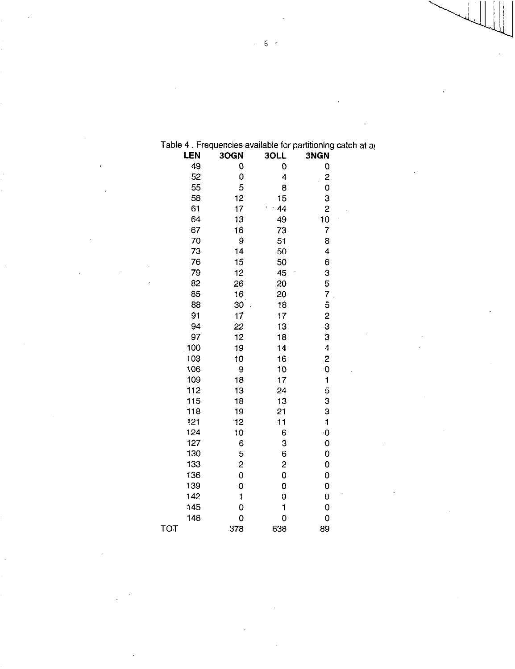|     | LEN | 3OGN         | 3OLL           | 3NGN                     |  |
|-----|-----|--------------|----------------|--------------------------|--|
|     | 49  | 0            | 0              | 0                        |  |
|     | 52  | 0            | 4              | $\overline{c}$           |  |
|     | 55  | 5            | 8              | $\bullet$                |  |
|     | 58  | 12           | 15             | 3                        |  |
|     | 61  | 17           | 44             | 2                        |  |
|     | 64  | 13           | 49             | 10                       |  |
|     | 67  | 16           | 73             | $\overline{\mathcal{L}}$ |  |
|     | 70  | 9            | 51             | 8                        |  |
|     | 73  | 14           | 50             | 4                        |  |
|     | 76  | 15           | 50             | 6                        |  |
|     | 79  | 12           | 45             | 3                        |  |
|     | 82  | 26           | 20             | 5                        |  |
|     | 85  | 16           | 20             | 7                        |  |
|     | 88  | 30           | 18             | 5                        |  |
|     | 91  | 17           | 17             | $\overline{\mathbf{c}}$  |  |
|     | 94  | 22           | 13             | 3                        |  |
|     | 97  | 12           | 18             | З                        |  |
|     | 100 | 19           | 14             | 4                        |  |
|     | 103 | 10           | 16             | $\mathbf{2}$             |  |
|     | 106 | 9            | 10             | $\ddot{\mathbf{0}}$      |  |
|     | 109 | 18           | 17             | $\mathbf{1}$             |  |
|     | 112 | 13           | 24             | 5                        |  |
|     | 115 | 18           | 13             | 3                        |  |
|     | 118 | 19           | 21             | 3                        |  |
|     | 121 | 12           | 11             | $\mathbf{1}$             |  |
|     | 124 | 10           | 6              | $\ddot{\mathbf{O}}$      |  |
|     | 127 | 6            | 3              | ۰O                       |  |
|     | 130 | 5            | 6              | 0                        |  |
|     | 133 | $\mathbf{2}$ | $\overline{c}$ | 0                        |  |
|     | 136 | 0            | O              | 0                        |  |
|     | 139 | 0            | 0              | O                        |  |
|     | 142 | $\mathbf{1}$ | 0              | 0                        |  |
|     | 145 | 0            | $\mathbf{1}$   | $\ddot{\mathbf{0}}$      |  |
|     | 148 | 0            | Ō              | 0                        |  |
| тот |     | 378          | 638            | 89                       |  |

Table 4. Frequencies available for partitioning catch at a

6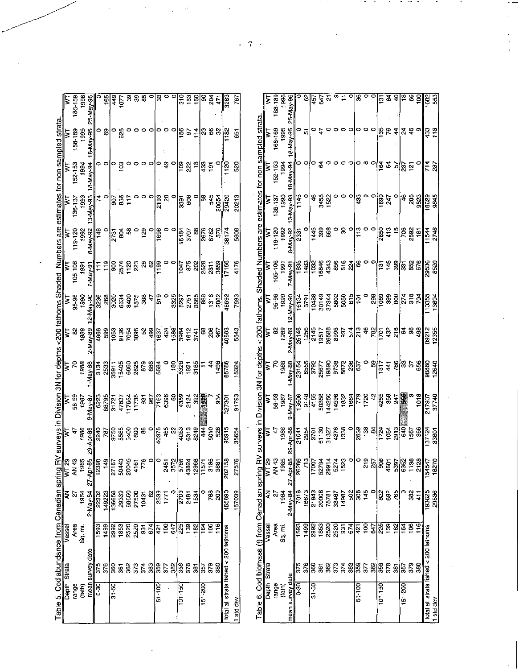| Table 5. Cod abundance from Canadian spring RV<br>Depth Strata                  |                             |                                     |                       |                                                                                                    |                                                                  |                   | urveys in Division 3N for depths<br>WT WT WT      |                                                 |                                                 |                     |                    |                           |                                  |                                 |                         |
|---------------------------------------------------------------------------------|-----------------------------|-------------------------------------|-----------------------|----------------------------------------------------------------------------------------------------|------------------------------------------------------------------|-------------------|---------------------------------------------------|-------------------------------------------------|-------------------------------------------------|---------------------|--------------------|---------------------------|----------------------------------|---------------------------------|-------------------------|
| range                                                                           |                             | Area                                | 2                     | AN 43                                                                                              | Ŧ                                                                |                   |                                                   | 5                                               | 95-96                                           | 105-106             | 119-120            | 136137                    | 152-153                          | 168-169                         | 188-189                 |
| (fath)                                                                          |                             | Sq.mi                               | 1984                  | 1985                                                                                               | 1986                                                             | 58-59<br>1987     | 1988                                              | 1989                                            | 1990                                            | 1991                | 1992               | 1993                      | 1994                             | 1995                            | 1996                    |
|                                                                                 | mean survey date            |                                     | $2$ -May-84           |                                                                                                    | Apr-86                                                           | $9$ May $87$      | $-May-88$                                         | 2 May 89                                        | $May$ 90                                        | 7-May-91            | 8 May 92           | 3 May 93                  | 18 May 94                        | 8-May 95                        | <u>25 May 36</u>        |
| e<br>G                                                                          | 375                         | 593                                 | 2302                  | $\frac{27 - A p \cdot -85}{12390}$ $\frac{149}{27167}$ $\frac{27167}{27167}$ $\frac{50443}{29443}$ | $\frac{1}{25}$                                                   | 6223              | 3134                                              | $\frac{1}{36}$ $\frac{1}{30}$                   | 3236                                            | ₣                   | 148                |                           | 0                                | 0                               |                         |
|                                                                                 | 376                         | 1499                                | 149223                |                                                                                                    |                                                                  | 88795             | 2533                                              |                                                 | 268                                             | $\frac{9}{1}$       |                    |                           | P                                | සි                              | 165                     |
| $\overline{31.50}$                                                              |                             | 2992                                | $\frac{13655}{13655}$ |                                                                                                    |                                                                  | $\frac{1}{2}$     | $\overline{\overline{\overline{5}}}$              |                                                 | 3020                                            |                     | 2731               | 505                       | 0                                |                                 | $\frac{1}{4}$           |
|                                                                                 | $\frac{8}{8}$ $\frac{8}{8}$ | 1853                                | 29339                 |                                                                                                    | ន្ត្រី ឆ្លូ ខ្លួ ខ្លួ<br>ត្រី ឆ្លូ ខ្លួ ខ្លួ                     | 47837             | 15405                                             | <b>25</b><br>25<br>26<br>25<br>26               | 6634                                            | ខ្ល ಕ್ಷ ន្ត ឌ្ល<br> | $\tilde{g}$        | 836                       | $\mathbf{S}$                     | ី និ                            | 1077                    |
|                                                                                 |                             | 2520                                | 68550                 |                                                                                                    |                                                                  | 117654            |                                                   |                                                 | 8400                                            |                     | 8                  | Ë                         |                                  |                                 |                         |
|                                                                                 | 373                         | 2520                                | 27500                 |                                                                                                    |                                                                  | 11738             | 6860<br>2625                                      |                                                 | 1575<br>388                                     |                     |                    |                           |                                  |                                 | 888                     |
|                                                                                 |                             |                                     | 10431                 | 776                                                                                                | 8                                                                |                   | 879                                               | 8                                               |                                                 | 26                  | 129                |                           |                                  |                                 |                         |
|                                                                                 |                             | $\frac{1}{3}$ $\frac{1}{3}$         |                       |                                                                                                    |                                                                  |                   | $\frac{8}{3}$                                     | $rac{1}{6}$                                     | 4                                               | 이용                  |                    |                           |                                  |                                 |                         |
| $\frac{1}{2}$                                                                   | នី ឌីឌ្រី ខ្លី ឌី           |                                     | $\frac{8}{8}$         | ¦٥                                                                                                 | 40375                                                            | $\frac{25}{35}$   |                                                   |                                                 | $\frac{9}{5}$                                   |                     | 1696               | $\frac{1}{2193}$          | 0                                |                                 | $\overline{3}$          |
|                                                                                 |                             | $\overline{100}$                    |                       | 2451<br>3572                                                                                       | $rac{465}{22}$                                                   |                   |                                                   |                                                 |                                                 | 00                  |                    | $\boldsymbol{\mathsf{a}}$ | $\frac{1}{4}$                    | 。。                              |                         |
|                                                                                 |                             | 647                                 | $\circ$               |                                                                                                    |                                                                  | 8                 | $\frac{8}{100}$                                   |                                                 | 3325                                            |                     |                    |                           | o                                |                                 |                         |
| $\frac{101}{150}$                                                               |                             | 225                                 | 2703                  | 57884                                                                                              | <br> 3                                                           | န္ဒြ              | 5328                                              | $rac{3}{2}$ $rac{3}{2}$ $rac{3}{2}$ $rac{3}{2}$ | $\frac{297}{2}$                                 | 1047                | 16484              | 331                       | eg1                              | $\frac{6}{9}$                   | $\frac{310}{163}$       |
|                                                                                 | 378                         | $\frac{1}{2}$ $\frac{5}{2}$         | 2481<br>1534          |                                                                                                    | 6313<br>8249                                                     | 2124<br>392       | $1921$<br>$3185$                                  | 1612                                            | 2751                                            | 875                 | 3707               | 608                       | 22                               |                                 |                         |
|                                                                                 | $\overline{3}$              |                                     |                       | 2968                                                                                               |                                                                  |                   |                                                   | 3741                                            | 3665                                            | 28                  | 8                  |                           | <u>بہ</u>                        |                                 | $\frac{8}{2}$           |
| $\frac{151}{200}$                                                               | ြ                           | 64                                  |                       | $\mathbb{E}$                                                                                       | 444                                                              | E                 |                                                   | នន្ត<br>និ                                      | 8 es<br>8                                       | 2528                | 2678<br>8782       | ස                         | 337                              | $\frac{1}{2}$   23 $\%$ $\%$    | ဒ                       |
|                                                                                 | 380<br>380                  | $\overline{106}$                    | <b>788</b>            | 3195                                                                                               | 5010                                                             |                   | $\boldsymbol{4}$                                  |                                                 |                                                 | 2311<br>3859        |                    | 545                       |                                  |                                 | 204                     |
|                                                                                 |                             |                                     |                       | 3681                                                                                               |                                                                  | डू                | 1498                                              |                                                 | 2062                                            |                     | <b>S2</b>          | 20654                     |                                  |                                 | Ę                       |
| total all strata fished < 200 fathoms                                           |                             |                                     | 455890                | 202158                                                                                             | 90915                                                            | $\frac{1}{27301}$ | 85786                                             | 3<br> 3<br> 4                                   | 46692                                           | 7156                | 38174              | 29420                     | ខ្ន                              | <u> a</u>                       | 3<br>  3                |
| 1 std dev                                                                       |                             |                                     | 157039                | 27576                                                                                              | 35654                                                            | 91793             | 15324                                             | 5543                                            | 7693                                            | 4176                | 5808               | 20213                     | 520                              | 65                              | 787                     |
|                                                                                 |                             |                                     |                       |                                                                                                    | <b>Lvevs</b>                                                     |                   |                                                   | 002                                             | lathoms.                                        |                     | Shaded Numbers are |                           | estimates for non sampled strata |                                 |                         |
| Table 6. Cod biomass (t) from Canadian spring RV<br>Depth Strata Vessel AN WT29 |                             |                                     |                       |                                                                                                    |                                                                  |                   | $\frac{\text{Division 3N for depths}}{\text{WT}}$ | ξ                                               |                                                 |                     |                    |                           |                                  |                                 |                         |
| range                                                                           |                             | Area                                | 27                    | AN 43                                                                                              | Ч                                                                |                   | ξ                                                 |                                                 |                                                 | 105-106             | 119-120            | 136-137                   | 152-153                          | 168-169                         | 188-189                 |
| (tath)                                                                          |                             | Sq. mí.                             | 1984                  | 1985                                                                                               | 1986                                                             | 58-59<br>1987     | 1988                                              | 88.<br>88                                       | 95-96<br>1990                                   | 1991                | 1992               | 1993                      | 1994                             | 1995                            | 1996                    |
| mean survey date                                                                |                             |                                     | 2-May-84              | $27 - Aq$                                                                                          | $Apr-86$                                                         | -May-87           | B <sub>8</sub> -ABM-                              | 88-yaw-                                         | De-vely-                                        | re-vew-             | 8-May-92           | 3-May-93                  | 8-May-94                         | 8-May-95                        | 5-May-96                |
| ြ<br>၁-၁၀                                                                       | 375                         | <u>1597</u>                         | 7018                  |                                                                                                    | 21041                                                            | 13506             | 23154                                             | 25148                                           | 16134                                           | 1835                | 2331               | 1145                      | 0                                |                                 |                         |
|                                                                                 | 376                         | 1499                                | 16673                 |                                                                                                    | 2954                                                             | 9148              | 6555                                              | 1256                                            | 3791                                            | 1483                |                    |                           | o                                | io                              | 8                       |
| $31 - 50$                                                                       | 360                         | 2992                                | 21843                 | Apt-85<br>26266<br>262794<br>203794<br>1523<br>1523                                                | 3781                                                             | 4155<br>50358     | 3792                                              | 2145                                            | 10488<br>30149                                  | 1032<br>16646       | 1445               | Ş                         | 0                                |                                 | 457<br>647              |
|                                                                                 | g                           | 1853<br>2520                        | 20008<br>75781        |                                                                                                    | 61130                                                            | 44250             | 25677                                             | 26588<br>19517                                  | 37344                                           | 4343                | 399<br>668         | 3455<br>1522              | 34                               |                                 | $\overline{\mathbf{a}}$ |
|                                                                                 | 362<br>373                  | 2520                                | 33487                 |                                                                                                    | 31327<br>4378<br>1338                                            |                   | 19890<br>9738<br>5872                             |                                                 |                                                 |                     | $\circ$            |                           |                                  |                                 | ø                       |
|                                                                                 | 374                         | 931                                 | 14987                 |                                                                                                    |                                                                  | 14596<br>1832     |                                                   | 8996<br>987                                     | 5802<br>5050                                    |                     | $\rm S$            |                           |                                  |                                 | F                       |
|                                                                                 |                             | 674                                 | 502                   |                                                                                                    |                                                                  | 1664              | 236                                               | 574                                             | 615                                             | 853                 | $\circ$            | °                         | o                                | 00                              | $\circ$                 |
| $51 - 100$                                                                      | ឌ្ឍឌ្លក្ដ                   | 421                                 | 용 휴                   |                                                                                                    | 2639<br>138                                                      | $rac{179}{1720}$  | 637                                               | 213                                             | ļέ                                              | န္တ                 | 113                | 433                       | o                                |                                 | S                       |
|                                                                                 |                             | $\overline{100}$                    |                       | 219                                                                                                |                                                                  |                   |                                                   | $\frac{48}{28}$                                 |                                                 | $\circ$ $\circ$     |                    |                           | œ                                | 。。                              | $\circ$                 |
|                                                                                 | $\frac{28}{35}$             | 647                                 | $\circ$               |                                                                                                    |                                                                  |                   | <b>88</b><br>1917                                 |                                                 |                                                 |                     |                    |                           |                                  |                                 | $\circ$                 |
| $101 - 150$                                                                     |                             | 225                                 | 822                   | $rac{257}{986}$                                                                                    | $\frac{1}{2}$ $\frac{1}{2}$ $\frac{1}{2}$ $\frac{1}{2}$          | $\frac{42}{368}$  |                                                   |                                                 | $\frac{18}{12}$ $\frac{18}{12}$ $\frac{18}{12}$ | 7489                | 2650               | 1699                      | 164                              | $\frac{1}{36}$ & $\frac{4}{36}$ | ឆ្ន                     |
|                                                                                 | 378                         | $rac{3}{2}$ $rac{3}{2}$ $rac{3}{2}$ | 692                   |                                                                                                    |                                                                  |                   |                                                   | 432                                             |                                                 |                     | 413                | 247                       | ढ                                |                                 | $\mathbf{a}$            |
|                                                                                 | $\overline{3}$              |                                     | 765                   |                                                                                                    | 2913                                                             |                   |                                                   | 216                                             |                                                 |                     | $\ddot{ }$         |                           |                                  |                                 | ੩                       |
| $151 - 200$                                                                     | န္ကြ                        |                                     |                       |                                                                                                    |                                                                  | မြန်လ<br>မြန်     |                                                   |                                                 |                                                 |                     |                    | $\frac{6}{4}$             | ှုဖွဲ့ ဗွ                        |                                 | $\overline{18}$         |
|                                                                                 | 379<br>$\frac{8}{36}$       | $\overline{106}$                    | 382<br>411            | $\frac{5}{33}$<br>$\frac{53}{35}$<br>$\frac{33}{55}$<br>$\frac{33}{55}$                            | $\frac{1}{3}$<br>$\frac{1}{3}$<br>$\frac{1}{3}$<br>$\frac{1}{3}$ | 1018              | $\frac{4}{3}$ glg $\mu$ g                         | 3 \$ \$                                         | <b>278</b><br>258                               | 352                 | <u>နားမှု န</u>    | 205<br>9823               |                                  | $\frac{1}{2}$ မှိ စ             | 66<br>8                 |
| total all strata fished < 200 fathoms                                           |                             |                                     |                       |                                                                                                    |                                                                  | 247937            |                                                   |                                                 |                                                 |                     |                    |                           |                                  |                                 |                         |
| 1 std dev                                                                       |                             |                                     | 193825<br>29836       | 154547<br>18270                                                                                    | 37124<br>33801                                                   | 37740             | 07986<br>12640                                    | 89212<br>12355                                  | 13355<br>13694                                  | 9536<br>   9526<br> | $\frac{154}{2748}$ | 3845<br>8629              | 78                               | <b>925</b>                      | 88<br>55                |
|                                                                                 |                             |                                     |                       |                                                                                                    |                                                                  |                   |                                                   |                                                 |                                                 |                     |                    |                           |                                  |                                 |                         |

 $\overline{7}$  $\overline{\phantom{a}}$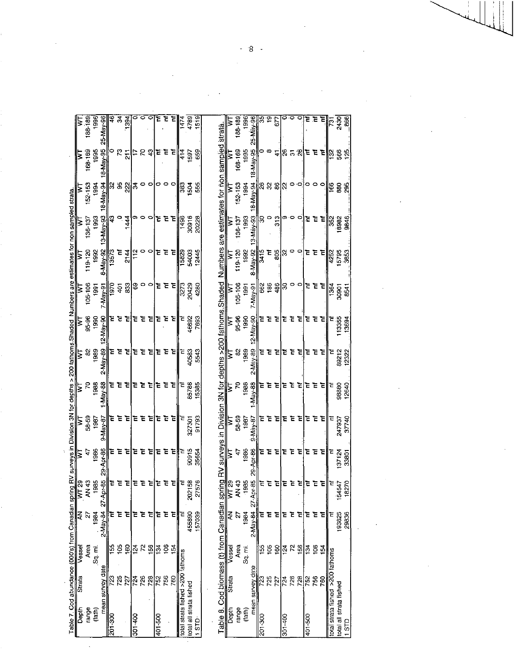|                                                                                                                                                                                  | 188-189     | 1996   | 25 May 96           | ٩       | $\overline{3}$  | 1394          |               | $\circ$     | 0   | Έ       | $\overline{t}$ |     | 14/4                             | 4789                    | 519       |                                                                                              |   | 188-189        | 1996           |                   | S             | ္            | Ē             |                | 00               | 0   |                | <b>EE</b> | $\frac{1}{2}$ |                                  | 2430                    | $rac{6}{6}$ |
|----------------------------------------------------------------------------------------------------------------------------------------------------------------------------------|-------------|--------|---------------------|---------|-----------------|---------------|---------------|-------------|-----|---------|----------------|-----|----------------------------------|-------------------------|-----------|----------------------------------------------------------------------------------------------|---|----------------|----------------|-------------------|---------------|--------------|---------------|----------------|------------------|-----|----------------|-----------|---------------|----------------------------------|-------------------------|-------------|
|                                                                                                                                                                                  |             |        |                     |         |                 |               |               |             |     |         |                |     |                                  |                         |           | I strata.                                                                                    |   |                |                | 25-May-96         |               |              |               |                |                  |     |                |           |               |                                  |                         |             |
| Σ                                                                                                                                                                                | 168-169     | 1995   | 18-May-95           | $\circ$ | $\mathcal{E}$   | 등             | ÷,            | 5 3         |     | E       | Έ              | Ē   | 414                              | 1597                    | 659       |                                                                                              | ξ | 168-169        | 1995           | 18 May 95         |               | $\bullet$    | $\mathbf{A}$  |                | ន គ.ន            |     | ミミ             |           | E             |                                  | ခြ နွ နွ                |             |
| Σ                                                                                                                                                                                | 152-153     | 1994   | 18-May-94           |         | 88              | 22            | ਨ             |             | o   | 0       |                |     | 383                              | 1504                    | 555       |                                                                                              |   | 152-153        | 1994           | <b>PG-Nay-84</b>  | $\frac{8}{2}$ | $\mathbf{S}$ | ଞ $ 8 $       |                | 0                | ۰O  | l⇔             |           |               | 166                              | 880                     | 285         |
| ξ                                                                                                                                                                                | $136 - 137$ | 1993   | $13 - M$ a $v - 93$ | ₽       | $-144$          |               | o,            | ∘           | 0   | č       | Ξ              | Έ   | 1496                             | 30916                   | 20228     |                                                                                              | ₹ | 136-137        | $\frac{56}{3}$ | I3-May 93         | S             | $\circ$      | 313           | Φ              | ∘                | o   | č              | Ē         | Ξ             | 33                               | 18982                   | 3846        |
| Σ                                                                                                                                                                                | 119-120     | 1992   | 8-May-92            | 13573   | Ē               | 2144          | $\frac{1}{2}$ | o           | 0   | Ē       | Ē              | Έ   | 15829                            | 54003                   | 12445     |                                                                                              | Σ | 119-120        | 1992           | 8 May 92          | 3415          | Ē            | 805           | ೫              | P                | P   | E              | Ē         | Ξ             | 4252                             | 15795                   | 3853        |
| ξ                                                                                                                                                                                | 105-106     | 1991   | 7-May-91            | 1970    | $\overline{5}$  | 83            | ශී            | $\circ$     |     | Έ       | Έ              | Ξ   | 3273                             | 20429                   | 4280      |                                                                                              | ξ | 105-106        | $\frac{5}{2}$  | 7 May 91          | 82<br>185     |              | 486           | Z              | $\circ \circ$    |     | E              | Έ         | Έ             | 1364                             | 30901                   | 854         |
| Table 7. Cod abundance (000's) from Canadian spring RV surveys in Division 3N for depths > 200 fathoms.Shaded Numbers are estimates for non sampled strata<br>$\mathsf{\dot{z}}$ | 95-96       | 1990   | 12-May-90           | Ξ       | ਵ               | ՟             | Ξ             | ਵ           |     | Έ       | E              |     |                                  | 46692                   | 7693      |                                                                                              | ξ | 95.96          | 1000           | 2 May 90          | Ξ             | Έ            | Έ             | ቼ              | Ξ                | E   | Έ              |           |               |                                  | 113355                  | 13694       |
| ξ                                                                                                                                                                                | S)          | 1989   | 2 May-89            | Ξ       | ᄙ               | ਵ             | Ξ             | ᄒ           | Έ   |         | ΈĒ             | Έ   |                                  | 40583                   | 5543      |                                                                                              | ξ | 82             | 1989           | 2 May 89          | Ë             | 专            | Ē             | ቺ              | 토                | ᅚ   | Έ              | Έ         | Έ             | ć                                | 89212                   | 12322       |
|                                                                                                                                                                                  | 20          | 1988   | -May-88             | Έ       | ᄇ               | ᄇ             | Ξ             | 굲           | Έ   | Έ       | Έ              | Έ   |                                  | 85786                   | 15385     |                                                                                              | ₹ | R              | 1988           | $\frac{M}{2}$ 88  | Ξ             | Έ            | Έ             | E              | Έ                | Ξ   | Έ              | Έ         |               |                                  | 98880                   | 12640       |
| Σ                                                                                                                                                                                | 58-59       | 1987   | 9 May 87            | E       |                 | Έ             |               |             |     | Ξ       | ē              |     |                                  | 327301                  | 91793     | surveys in Division 3N for depths >200 fathoms. Shaded Numbers are estimates for non sampled | ξ | 58-59          | 1997           | 9 May 87          | ፞፝፝፝          | Ĕ            | Έ             | Έ              | 토                | Έ   | Ξ              | ᅕ         | Έ             | Ē                                | 247937                  | 37740       |
| ξ                                                                                                                                                                                | 47          | 1986   | 29-Apr-86           | E       | Ξ               | Ξ             | Ē             | Ξ           | Έ   | Ξ       | Έ              | È   |                                  | 90915                   | 35654     |                                                                                              | ξ | $\ddot{\tau}$  | 1986           | 29-Apr-86         | Έ             | E            | Έ             | Έ              | ᅚ                | Έ   | Έ              | Έ         |               | Έ                                | 137124                  | 33801       |
| $\frac{29}{5}$                                                                                                                                                                   | AN 43       | 1985   | 46<br>L<br>27-Ap    | Ξ       | ՟               |               |               |             |     | ē       |                |     | Ξ                                | 202158                  | 7576<br>5 |                                                                                              |   | AN 43          | 1985           | $y - 85$<br>27-Ap | Ξ             | ਵ            | ē             | Ξ              | Ξ                |     | Ē              | ᆍ         |               | Ë                                | 547<br>$\frac{2}{2}$    | 270<br>ຼື   |
|                                                                                                                                                                                  | ≨ ৯         | 1984   | 2-May-84            |         | Έ               | Έ             |               | 로 호         | ਟ   | Ξ       | Έ              | Έ   |                                  | 455890                  | 157039    |                                                                                              |   | $\overline{c}$ | 1984           | 2 May 84          | Έ             | Έ            | Έ             | έ              | 石                | Ē   | E              | 토         | Έ             | Ē                                | 193825                  | 29836       |
| Vessel                                                                                                                                                                           | Area        | Sq.mi. |                     | S       | $\frac{105}{2}$ | $\frac{8}{5}$ | $\frac{1}{2}$ | $\tilde{r}$ | 156 | 134     | 106            | 154 |                                  |                         |           |                                                                                              |   | Area           | Sq. mi.        |                   | 155           | 105          | $\frac{8}{5}$ | $\frac{24}{5}$ | $\tilde{\kappa}$ | 156 | $\frac{34}{2}$ | 106       | $\frac{1}{2}$ |                                  |                         |             |
| Strata                                                                                                                                                                           |             |        | mean survey date    |         | 725             | 727           | 724           | 726         | 728 | 752     | 756            | 760 |                                  |                         |           |                                                                                              |   |                |                | mean survey date  | នា            | 725          | 727           | 724            | 726              | 728 | 752            | 756       | 760           |                                  |                         |             |
| Depth                                                                                                                                                                            | range       | (tath) |                     | 201-300 |                 |               | $301 - 400$   |             |     | 401-500 |                |     | total strata fished >200 fathoms | total all strata fished | $1$ STD   | Table 8. Cod biomass (t) from Canadian spring RV<br>Depth Strata Vessel                      |   | range          | (tat)          |                   | 201-300       |              |               | $301 - 400$    |                  |     | 401-500        |           |               | total strata fished >200 fathoms | total all strata fished | $1$ STD     |

 $-8 -$ 

 $\hat{\boldsymbol{\gamma}}$ 

 $\frac{1}{2}$ 

 $\hat{\boldsymbol{\cdot}$ 

 $\frac{1}{2}$ 

 $\bar{\beta}$ 

 $\ddot{\phantom{a}}$ 

 $\ddot{\phantom{a}}$ 

 $\frac{1}{2}$  ,  $\frac{1}{2}$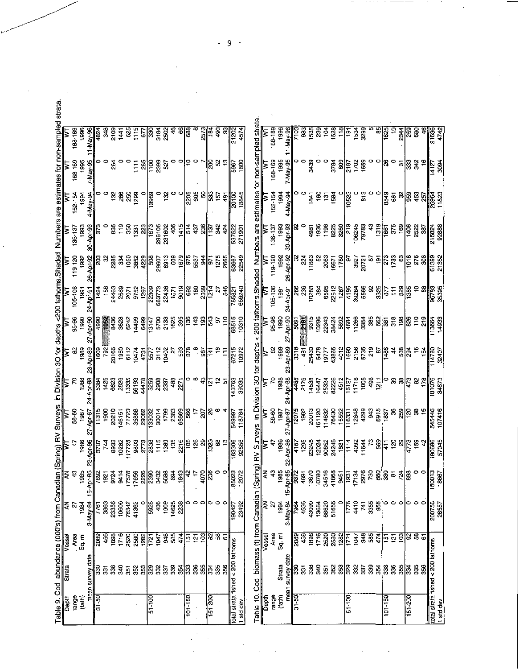| $\frac{101}{150}$<br>range<br> 8<br> 5<br>(tath)<br>$51 - 100$ | Sq. mi<br>mean survey date<br>ន្ល     | Area                     |                     | ⋛                               |                                                             |                                     |                         |                                                     |                                    |                                                                                   |                                                                       |                                                      |                    |                            |                        |
|----------------------------------------------------------------|---------------------------------------|--------------------------|---------------------|---------------------------------|-------------------------------------------------------------|-------------------------------------|-------------------------|-----------------------------------------------------|------------------------------------|-----------------------------------------------------------------------------------|-----------------------------------------------------------------------|------------------------------------------------------|--------------------|----------------------------|------------------------|
|                                                                |                                       |                          | Ļ,                  | Ş,                              | 4                                                           | 58-60<br>1987                       | ξ                       | 8                                                   | 95-96<br>1990                      | 105106                                                                            | 119-120                                                               | 136-137                                              | $152 - 154$        | 163-169                    | 188-189                |
|                                                                |                                       |                          | 1984                | 1985                            | 1986                                                        |                                     | 1988                    | 1989                                                |                                    | $\overline{9}$                                                                    | 1992                                                                  | 1993                                                 | 1994               | 1995                       | 1996                   |
|                                                                |                                       |                          | 3 May 84            | $\frac{15 - Ap \cdot 45}{7892}$ | 22.Apr-86                                                   | ن<br>پاک                            |                         |                                                     |                                    |                                                                                   |                                                                       | 30 Apr 93                                            | 4 May 9            | May 95                     | Nay 90                 |
|                                                                |                                       | 2003                     | 1971                |                                 | ူး<br>(၁                                                    | 11315                               | $\frac{1}{2}$           | Apr-89<br>1609<br>2007                              |                                    | $\frac{5}{2}$<br>$\frac{1}{4}$<br>$\frac{3}{4}$<br>$\frac{3}{4}$<br>$\frac{3}{4}$ | 하다<br>하                                                               | ္ကြ                                                  |                    |                            | 482.                   |
|                                                                | នី                                    | 456                      | 3363                | 1921                            | 744                                                         | 1900                                |                         |                                                     |                                    |                                                                                   | S,                                                                    |                                                      |                    |                            | 340                    |
|                                                                | 33 <sub>0</sub>                       | 1898                     | 23356               | 9724                            | 8933                                                        | 20210                               |                         |                                                     |                                    |                                                                                   |                                                                       | 835                                                  |                    | $\frac{5}{3}$              | 2109                   |
|                                                                | 30                                    | 1716                     | 10606               | 9414                            | 10282<br>17725                                              | 146151                              |                         | 20166<br>1960<br>6112                               |                                    | 2463<br>2569<br>2071                                                              | ន្ត្រី និង និង នៅខ្លួន<br>និង មិន និង នៅខ្លួន                         | $\frac{9}{119}$                                      | පි සි              |                            | $\frac{1}{4}$          |
|                                                                | $\overline{5}$                        | 2520                     | 78342               | 17578                           |                                                             | 71723                               |                         |                                                     |                                    |                                                                                   |                                                                       |                                                      |                    |                            | 525                    |
|                                                                | 352                                   | 2580                     | 41362               | 17656                           | 9803                                                        | 35888                               |                         | 10474                                               | 14499                              | 9752                                                                              |                                                                       | នីទី                                                 | <u>និង</u>         | E                          | 1115                   |
|                                                                |                                       | 1282                     | $\circ$             |                                 |                                                             |                                     |                         | 4731                                                | 6499                               |                                                                                   |                                                                       |                                                      |                    | $\frac{85}{2}$             | 57                     |
|                                                                | ္တုဒ္က                                | $\frac{1}{2}$            | 398                 | $\frac{8}{3}$                   | $\frac{2773}{2838}$                                         | 29032<br>29032<br>30014             |                         | $\frac{12}{312}$                                    | $\frac{1}{2}$                      | $\frac{1297}{22309}$                                                              |                                                                       | $\frac{1}{2}$                                        | $\frac{1}{3959}$   | ≊<br> =                    | န္တြ                   |
|                                                                | $\frac{35}{25}$                       | 1047                     | $\frac{8}{3}$       | 3432                            |                                                             |                                     |                         |                                                     |                                    |                                                                                   |                                                                       | 296105                                               |                    | 2399                       | 3184                   |
|                                                                |                                       |                          | 1909                | 5688                            |                                                             | 1799                                |                         | <b>SORO</b>                                         |                                    |                                                                                   | 6913                                                                  | 231602                                               | $\frac{32}{2}$     | $\overline{\mathbf{5}}$    | 2502                   |
|                                                                | 339                                   | $rac{9}{380}$            | 14625               | 894                             | 1369<br>135                                                 | 2383                                | 488                     | $\tilde{z}$                                         | <b>523</b><br>533                  | 22436<br>1571<br>9019                                                             | 809                                                                   | 406                                                  |                    |                            |                        |
|                                                                |                                       | 474                      | 2238                | 1843                            |                                                             |                                     | 227                     |                                                     |                                    |                                                                                   |                                                                       | 1415                                                 |                    |                            | 8                      |
|                                                                | ង្គន្រ្ត ន្ល                          | $\overline{5}$           |                     | å                               | $\frac{16}{2}$ $\frac{16}{2}$ $\frac{16}{2}$ $\frac{16}{2}$ | 6568<br>586                         |                         | ႙ၟႜႜႜ႙                                              | $\frac{25}{25}$                    | အ <u>ေ ချွ</u>                                                                    | $\frac{6}{5}$ $\frac{1}{6}$ $\frac{6}{5}$ $\frac{3}{4}$ $\frac{4}{5}$ | $\overline{514}$                                     | 18 8<br> 8 9       | $\tilde{=}$                | 38                     |
|                                                                |                                       | $\frac{5}{2}$            | 。。。                 | Ļ,                              |                                                             | $\ddot{ }$                          | ၀၀                      |                                                     |                                    |                                                                                   |                                                                       | 407                                                  |                    | ۰                          |                        |
|                                                                | 355                                   | 103                      |                     | 4070                            |                                                             | $\overline{5}$                      |                         | 987                                                 |                                    |                                                                                   |                                                                       | 236                                                  | 8                  |                            | <u>हैं</u>             |
| $\frac{151200}{200}$                                           | $\overline{334}$                      | 8                        | ۰                   | $\frac{8}{25}$                  | ဒ္ဒြ                                                        |                                     | $\frac{2}{3}$           | <u> य</u>                                           | 543                                | $\frac{1}{2}$                                                                     | 5                                                                     | Ë                                                    | န္တြ               | $\overline{\phantom{0}}$ 8 | <u>ist</u>             |
|                                                                | 335                                   | छ                        | $\circ$             | $\circ$                         | $\bf{3}$                                                    |                                     | $\tilde{\mathcal{L}}$   |                                                     | P.                                 | P.                                                                                | 1275                                                                  | $\frac{2}{3}$                                        | $\frac{157}{2}$    | 8                          | $\frac{6}{2}$          |
|                                                                | 356                                   | 6                        |                     | $\circ$                         | $\frac{1}{2}$                                               |                                     | $\overline{5}$          | $\frac{5}{2}$                                       | ä                                  | 546                                                                               | 2665                                                                  | ङ्                                                   | $\frac{1}{9}$      |                            | ຊ                      |
|                                                                | total strata fished < 200 fathoms     |                          | $\frac{1}{8}$       | 35025                           | 16336<br>16386<br>1638                                      | 54997                               | 143763                  | 67215                                               | 5<br>  5                           | 785821                                                                            | 33549<br>22549                                                        | $\frac{22}{337522}$                                  | 20100              | န္တြ                       | $\sqrt{\frac{202}{2}}$ |
| 1 std dev                                                      |                                       |                          | 23492               | 12072                           |                                                             | 118784                              | 39030                   | 10972                                               | 10310                              | 669240                                                                            |                                                                       | 271901                                               | 13845              | 1800                       | 4574                   |
| Table 10.<br>Depth                                             | Cod biomass (t) from Canadian (Spring | Vesse                    | $\frac{2}{4}$       | ₹                               | इ                                                           | ļΣ                                  | ξ                       | g) RV Surveys in Division 30 for depths<br>ξ        | ξ                                  |                                                                                   |                                                                       | < 200 fathoms. Shaded Numbers are estimates for<br>ξ |                    | ξ                          | non-sampled strata     |
| range                                                          |                                       | Area                     | $\tilde{z}$         | $\boldsymbol{\mathcal{L}}$      | ÷                                                           | 58-80<br>1987                       | S                       | 3                                                   | 95-96<br>1990                      | 105-106                                                                           | 119-120                                                               | $136 - 137$                                          | 152-154            | 168-169                    | 188-189                |
| (tath)                                                         | Sirata                                | ie<br>अ                  | 1984                | 1985                            | 1986                                                        |                                     | 1988                    | 1989                                                |                                    | 1991                                                                              | 1992                                                                  | 1993                                                 | 1994               | 1995                       | 1996                   |
|                                                                | mean survey date                      |                          | <b>B-May-84</b>     | $15 - Ap - 85$                  | $2 - Ap - 86$                                               | نه<br>چونې                          |                         | $\frac{39}{4}$                                      |                                    |                                                                                   | 26-Apr-92                                                             | 30-Apr-93                                            | 4-May-94           | ÷May-9                     | -May-9c                |
| $\sqrt{3}$                                                     | 3                                     | 2089                     | 7964                | 9372                            | 4167                                                        | 12075                               | Apr-88<br>4486          | $\frac{1}{3}$                                       | 8155<br>- 1907<br>- 1908<br>- 1915 | <u>-Apr-91</u><br>266                                                             |                                                                       |                                                      |                    |                            | ğ                      |
|                                                                | $\overline{3}$                        | 456                      | 4536                | 4591                            | 1295<br>23245                                               | 382                                 | 2176                    | 481                                                 |                                    |                                                                                   | 224                                                                   |                                                      |                    |                            | ඝූ                     |
|                                                                | 338                                   | 1898                     | 43090               | 13670                           |                                                             | 20013                               | 14538                   | 25430                                               |                                    | ಸಿ ಕ್ಷ<br>ನಿಕ್ಷ ತೆ                                                                | 1883                                                                  | 4981                                                 | 1841               | 3439                       | 535                    |
|                                                                | $\frac{3}{4}$                         | 1716                     | 13654               | 10780                           | $\frac{2888}{288345}$                                       | 61120                               | 16447<br>25324<br>8228  | 5478                                                | 10296<br>223424<br>38424           |                                                                                   | Ŗ,                                                                    | 1936                                                 | $\frac{8}{5}$      |                            | ಸೆ                     |
|                                                                | 351                                   | 2520                     | 68620               | 34516                           |                                                             | 114632<br>76430                     |                         | 19777<br>43865                                      |                                    | 6595<br>22512                                                                     | 2063<br>16671                                                         | $\frac{8}{2}$ $\frac{8}{8}$ $\frac{8}{8}$            | $\mathbf{\bar{5}}$ |                            | $\frac{3}{2}$          |
|                                                                | 352                                   | 2580                     | 51655               | 41868<br>9451                   |                                                             |                                     |                         |                                                     |                                    |                                                                                   |                                                                       |                                                      | 1534               | 3784                       | 1528                   |
| 51-100                                                         | 33<br>ခြွ                             | 1282<br>$\overline{121}$ | Φ<br>$\frac{1}{76}$ | $\frac{1}{3}$                   |                                                             | 15552<br>∣ື່ອ                       | 4512                    |                                                     |                                    |                                                                                   | $\frac{5}{2}$                                                         | $\frac{9}{2}$                                        | 3                  | 809<br>$\frac{1}{2}$       | مبر<br>11<br>ļΡ        |
|                                                                | 332                                   | ÎЯ                       | 410                 | 17134                           | 4092                                                        | 12848                               | $\frac{16127}{11718}$   | $\frac{2186}{165}$ $\frac{886}{165}$ $\frac{8}{16}$ | $\frac{12}{3}$                     | $\frac{1267}{4195}$<br>39284<br>5566                                              |                                                                       |                                                      |                    | 1702                       | $\frac{3}{2}$          |
|                                                                | $\widetilde{\mathbb{S}}$              | 948                      | 741                 | 2976                            | 1644                                                        | 4299                                | 1005                    |                                                     |                                    |                                                                                   | 3927<br>20721                                                         | 108245<br>79783                                      | 813                | 1659                       | 3299                   |
|                                                                | 339                                   | 585                      | 3355                | 730                             | S.                                                          |                                     |                         |                                                     | 385                                | S,                                                                                |                                                                       |                                                      |                    |                            |                        |
|                                                                | 354                                   | $\frac{474}{4}$          | 955                 |                                 |                                                             |                                     | $496$<br>$\frac{11}{2}$ |                                                     |                                    |                                                                                   |                                                                       | 1319                                                 | 0                  |                            | æ                      |
| $101 - 150$                                                    | န္တြ                                  | 151                      |                     | န္ဓုန္တ                         | $\frac{1}{3}$                                               | $rac{2}{3}$ $rac{2}{3}$ $rac{2}{3}$ | o                       | ᇔ                                                   | $\frac{2}{3}$ and $\frac{2}{3}$    | $\frac{25}{32}$                                                                   | 일들 역                                                                  | 1661                                                 | 8549               | 26                         | $\frac{1}{3}$          |
|                                                                | 336                                   | $\frac{5}{2}$            | 。。                  | $\overline{\omega}$             |                                                             |                                     |                         | $\ddot{a}$                                          |                                    | Έ                                                                                 | 1733                                                                  | 3/5                                                  | $\overline{6}$     | $\circ$                    | ë                      |
|                                                                | 355                                   | 103                      |                     |                                 | $rac{8}{3}$ $rac{8}{5}$                                     | <u> မွ ဗါဒ</u>                      | 33                      |                                                     |                                    | $\frac{32}{365}$                                                                  |                                                                       |                                                      | S,                 | 5                          | $\overline{4}$         |
| $002 - 191$                                                    | 134                                   | 95                       | ۰                   | $\frac{1}{2}$                   |                                                             |                                     | $\frac{1}{473}$         | $\frac{3}{2}$                                       | 3                                  |                                                                                   | $\frac{3}{5}$                                                         | 이후                                                   | 9.59               |                            | 39                     |
|                                                                | 335                                   | 38                       | o                   | o                               | $\frac{163}{42}$                                            | 3                                   | 5                       | $\frac{6}{5}$                                       | $\frac{1}{2}$                      |                                                                                   | 276                                                                   | 2522                                                 | 453                | 332                        | 380                    |
|                                                                | 356                                   | 6                        |                     | $\circ$                         |                                                             |                                     | 178                     | $\mathbf{\tilde{z}}$                                | 219                                |                                                                                   | 3                                                                     | $\tilde{g}$                                          | 257                |                            |                        |
|                                                                | total strata fished < 200 fathoms     |                          | 200758              | 150013                          | 180686                                                      | 545446                              | 181076                  | 14780                                               | 113664                             | 86783                                                                             | 61399                                                                 | 215824                                               | 25964              | 14127                      | 21696                  |

 $\frac{1}{\sqrt{2}}\left( \frac{1}{\sqrt{2}}\right) ^{2}$ 

 $\ddot{\phantom{0}}$ 

 $\cdot$ 

 $-9$  $\mathbb{R}^2$ 

l,

 $-\cdot$ 

 $\sim$  100 m  $\sim$  100 m  $\sim$  $\overline{\phantom{0}}$   $\mathcal{L}$ 

 $\hat{\boldsymbol{\beta}}$ 

 $\hat{\boldsymbol{\beta}}$ 

 $\overline{\phantom{a}}$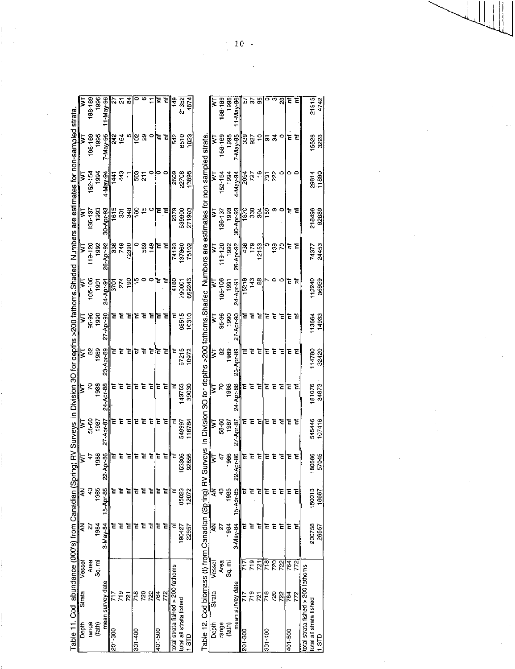|                                                                                                              |        | 88-189        | 1996   | $1-Mav-96$       |         | <u>ង ។</u><br>ខ |       | 0             | œ             |         | Ē       | Έ   | ≌ן                                | 21352                   | 4574   |                                                                                                    |        | 138-189     | 996            | $1 - Ma + 96$        |         | 55<br>55<br>55 |               | $\circ$       | ø               | $\overline{3}$ | Έ       | Έ   |                                   | 21915                   | 4742 |
|--------------------------------------------------------------------------------------------------------------|--------|---------------|--------|------------------|---------|-----------------|-------|---------------|---------------|---------|---------|-----|-----------------------------------|-------------------------|--------|----------------------------------------------------------------------------------------------------|--------|-------------|----------------|----------------------|---------|----------------|---------------|---------------|-----------------|----------------|---------|-----|-----------------------------------|-------------------------|------|
| ring) RV Surveys in Division 3O for depths >200 fathoms.Shaded Numbers are estimates for non-sampled strata. | 5      | 68-169        | 1995   | 7-May-95         | 342     | 164             | ю     | $\frac{5}{2}$ | R,            | $\circ$ | t       | Ē   | 542                               | 6510                    | 1823   |                                                                                                    | ξ      | 168-169     | 1995           | 7-May-95             | 339     | 927            | $\tilde{ }$   |               | 55              | $\circ$        |         | ΈÈ  |                                   | 15528                   |      |
|                                                                                                              | 5      | $52 - 154$    | 1994   | 4-May-94         | 1441    | 443             |       | នី            | $\frac{1}{2}$ | P       |         |     | 2609                              | 22708                   | 13895  |                                                                                                    | 5      | 152-154     | $\frac{94}{5}$ | 4-May-94             | 2094    | 727            | $\frac{6}{1}$ | <b>F87</b>    | 222             |                | 0       |     |                                   | 29814                   |      |
|                                                                                                              | ₹      | 136-137       | 1993   | 30-Apr-93        | 1615    | Š               | 348   | ģ             | \$            | o       | E       | E   | 2379                              | 539900                  | 271903 |                                                                                                    | ₹      | $136 - 137$ | 1993           | 30-Apr-93            | 1870    | 33             | š             | 159           | တ               | ۰              | Ξ       |     |                                   | 218496                  |      |
|                                                                                                              | ξ      | 119-120       | 392    | 26-Apr-92        | 336     | 749             | 72390 | Φ             | 589           | 149     | E       | Ē   | 74193                             | 137860                  | 75102  |                                                                                                    | 3      | 119-120     | 1992           | 26 Apr-92            | 33      | 179            | 2153          | $\circ$       | $\frac{39}{2}$  | ς              |         | ξE  |                                   | 74377                   |      |
|                                                                                                              | ξ      | $05 - 106$    | 1991   | <b>14-Apr-91</b> | 3701    | 274             | 190   | မ္ ခ          |               | ۰       | ĉ       | 石   | 4180                              | 790001                  | 669243 |                                                                                                    | Σ      | 105-106     | $\frac{5}{2}$  | 24-Apr-91            | 15218   | 143            | æ             |               |                 | 0              | ᄒ       |     |                                   | 112240                  |      |
|                                                                                                              | ξ      | 95-96         | 1990   | 27-Apr-90        |         | きをを             |       | てき            |               | Ξ       | Ē       | È   |                                   | 68515                   | 10310  | Surveys in Division 3O for depths >200 fathoms.Shaded Numbers are estimates for non-sampled strata | ξ      | 95-96       | 1990           | 27-Apr-90            | Ξ       | Έ              | Έ             | Ξ             | ਟ               | 굳              |         | Έë  |                                   | 113564                  |      |
|                                                                                                              | 2      | 8             | 1939   | 23-Apr-89        | Έ       | Ξ               | Έ     | ë             | Έ             | Ē       | Ē       | ՟   | Ξ                                 | 67215                   | 10972  |                                                                                                    | 5      | 8           | 1939           | 23-Apr-89            | Ξ       | Έ              | Έ             | Ξ             | Ē               | Ξ              | Έ       |     |                                   | 114780                  |      |
|                                                                                                              | ₹      | 5             | 1988   | 24-Apr-88        | Ē       | E               | E     | ៊             | Ξ             | Ξ       | Ē       | 굳   | Ë                                 | 143763                  | 39030  |                                                                                                    | ξ      | κ           | 1988           | 24 ADI 88            | Ξ       | E              | Έ             | Ξ             | Ξ               | Ē              | Έ       | ਟ   |                                   | 181076                  |      |
|                                                                                                              | 5      | 58-60         | 1987   | 27-Apr-87        | Ξ       | 토               | Έ     | Ë             | 石             | Έ       | E       | ī   |                                   | 549997                  | 118784 |                                                                                                    | Σ      | 58-60       | 1987           | 27 Apr-87            | E       | 로              | Έ             | Έ             | 호               | ፞፝፝፝           | Έ       | ᆍ   |                                   | 545446                  |      |
|                                                                                                              | ξ      | 4             | 1986   | 401-86<br>ź,     | č       | Έ               | Ξ     | ē             | c             | 논       | E       | c   |                                   | 163306                  | 92856  |                                                                                                    | Σ      | ÷           | 1996           | $\lambda$ ar 86<br>8 | č       | 군              | 로             | E             |                 | 굳              | ë       |     |                                   | 180686                  |      |
|                                                                                                              | ₹      | $\frac{3}{4}$ | 1985   | 15-Apr-85        |         |                 |       | ē             | Έ             | ቴ       | Ē       | ቴ   | E                                 | 85023                   | 12072  |                                                                                                    | ₹      | 3           | 1985           | 15-Apr-85            |         | ē              | ້ເ            | E             | Έ               | Έ              | ້ເ      | ፔ   |                                   | 150013                  |      |
| Table 11. Cod abundance (000's) from Canadian (Spr                                                           | ₹      | 21            | 1984   | 3-May-84         | ē       | こ               | Έ     | E             | 石             | 는       | ਟ       | E   | Έ                                 | 190427                  | 22957  | Table 12. Cod biomass (t) from Canadian (Spring) RV                                                | ş      | 2           | 1984           | $3$ May 84           |         | Έ              | ᅚ             | Ξ             | ਟ               | Έ              | Ξ       | E   |                                   | 200758                  |      |
|                                                                                                              | Vessel | Area          | sg. mi |                  |         |                 |       |               |               |         |         |     |                                   |                         |        |                                                                                                    | Vessel | Area        | ัธิ<br>ซี      |                      | ここ      | 719            | 721           | $\frac{1}{2}$ | $\overline{55}$ | 722            | 764     | 772 |                                   |                         |      |
|                                                                                                              | Strata |               |        | mean survey date | F       | 719             | 721   | 718           | 720           | 722     | 764     | 772 | total strata fished > 200 fathoms |                         |        |                                                                                                    | Strata |             |                | mean survey date     | Ξ       | $\frac{9}{10}$ | $\frac{1}{2}$ | $\frac{1}{2}$ | 720             | 722            | 764     | 772 | total strata fished > 200 fathoms |                         |      |
|                                                                                                              | Depth  | range         | (fath) |                  | 201-300 |                 |       | 301-400       |               |         | 009-107 |     |                                   | total all strata fished | 1 STD  |                                                                                                    | Depth  | range       | (fath)         |                      | 201-300 |                |               | 301-400       |                 |                | 401-500 |     |                                   | total all strata fished |      |

t,

 $\frac{1}{k}$ 

21915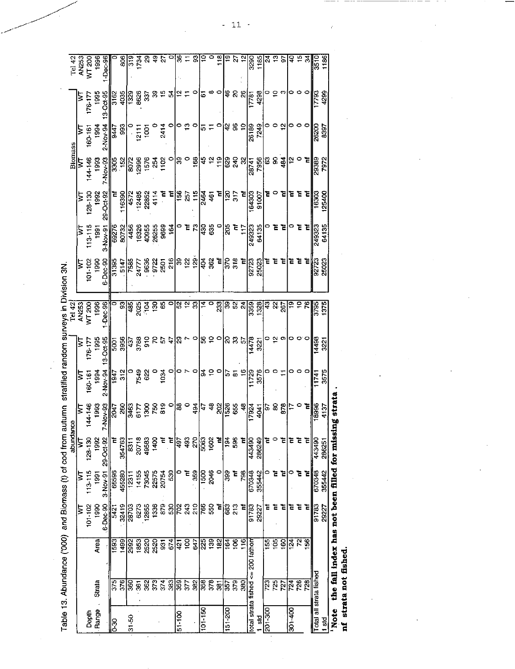Table 13. Abundance ('000) and Biomass (t) of cod from autumn stratified random surveys in Division 3N.

 $\ddot{\phantom{0}}$  $\ddot{\phantom{0}}$ 

|                      |                         |                                             |                 |             | abundance              |                                                                                         |                                   |                                                                                                                                                                         | Tel 42                              |                              |                                          |                                    | <b>Biomass</b>                                      |                    |                     | Tel 42                         |
|----------------------|-------------------------|---------------------------------------------|-----------------|-------------|------------------------|-----------------------------------------------------------------------------------------|-----------------------------------|-------------------------------------------------------------------------------------------------------------------------------------------------------------------------|-------------------------------------|------------------------------|------------------------------------------|------------------------------------|-----------------------------------------------------|--------------------|---------------------|--------------------------------|
|                      |                         |                                             | Σ               | ξ           | ₹                      | Σ                                                                                       | ξ                                 | β                                                                                                                                                                       | AN253                               | Σ                            | Σ                                        | ξ                                  | ≽                                                   | ξ                  | ξ                   | <b>AN253</b>                   |
| Depth                |                         |                                             | $101 - 102$     | 113-115     | 128-130                | 144-146                                                                                 | 160-161                           | 176-177                                                                                                                                                                 | WT 200                              | 101-102                      | $113 - 115$                              | $128 - 130$                        | 144-146                                             | 160-161            | 176-17              | WT 200                         |
| Range                | Strata                  | Area                                        | 1990            | $rac{5}{2}$ | 1992                   | 1993                                                                                    | 1994                              | 1995                                                                                                                                                                    | 1996                                | $\frac{8}{2}$                | $\frac{5}{190}$                          | 1992                               | $\frac{3}{2}$                                       | 1994               | 1995                | 1996                           |
|                      |                         |                                             | 6-Dec-90        | 3-Nov 91    | 29-Oct-92              | 2. Nov. 33                                                                              | $2$ Nov 94                        | $13$ Oct $95$                                                                                                                                                           | <b>Dec</b> -96                      | 6-Dec-90                     | $-5.00 - 51$                             | 29-Oct 92                          | $-10y-3$                                            | 2-Nov-94           | 13 Oct 95           | $-Dec-96$                      |
| နိ                   | 375                     | <b>S93</b>                                  | 5421            | 66596       | ć                      |                                                                                         | $\frac{1}{1947}$                  |                                                                                                                                                                         |                                     | 31395                        | 69276                                    | Ē                                  |                                                     | 9447               | 3162                |                                |
|                      | 376                     | 1499                                        | 32419           | 455280      | 354763                 | e e a signal<br>Salas 13<br>Salas                                                       |                                   | 5001                                                                                                                                                                    | <mark>ಾಷ್ಟ್ರಪಟ್ಟ</mark><br>ನಾಡುವುದು | $\frac{5147}{7585}$<br>24777 | 80732                                    | 116390                             | 3305<br>152                                         | 993                | 4035                | 806                            |
| $31 - 50$            | 360                     | 2992                                        | 28703           | $1231 -$    | 8311<br>20718<br>49583 |                                                                                         |                                   |                                                                                                                                                                         |                                     |                              |                                          |                                    |                                                     |                    | $\frac{1328}{8626}$ |                                |
|                      | 361                     | 1853                                        | 6273            | 14155       |                        |                                                                                         | 7549                              |                                                                                                                                                                         |                                     |                              |                                          |                                    |                                                     | 1211               |                     | <b>PEZI</b><br>018             |
|                      | 362                     | 2520                                        | 12855           | 73045       |                        |                                                                                         | 622                               | $3780$<br>$3780$                                                                                                                                                        |                                     | 9638<br>9722<br>- 2501       | 4456<br>16326<br>40955                   | 4572<br>12485<br>22852<br>4114     | 002<br>0036<br>0021<br>0021<br>0021<br>0021<br>0021 | $\overline{5}$     | 337                 |                                |
|                      |                         | 2520                                        | 1336            | 22575       | 1400                   |                                                                                         | $\circ$                           | 57                                                                                                                                                                      |                                     |                              |                                          |                                    |                                                     |                    |                     | $\overline{\mathcal{S}}$ ខ្ទឹង |
|                      | 374<br>374<br>383       | 931                                         | 879             | 20754       | Ē                      |                                                                                         | 1034                              |                                                                                                                                                                         | $\frac{1}{2}$ 85                    |                              | $26255$<br>9699<br>164<br>16<br>17<br>28 |                                    |                                                     | 2414               | 8 # 20   # ±        |                                |
|                      |                         | 674                                         | 530             | 530         | $\tilde{\mathbf{r}}$   |                                                                                         | $\circ$                           |                                                                                                                                                                         |                                     | 216                          |                                          | Ē                                  | $\circ$                                             |                    |                     |                                |
| $\frac{1}{51}$ - 100 | <u>ခြံ ၃</u>            | $\frac{1}{2}$ ទ្ធ                           | $\overline{50}$ |             | $\sqrt{2}$             |                                                                                         | $\sim$ $\sim$                     |                                                                                                                                                                         |                                     |                              |                                          |                                    | ခြ ၀                                                | o                  |                     |                                |
|                      |                         |                                             | 243             | Έ           | 493                    |                                                                                         |                                   |                                                                                                                                                                         |                                     |                              |                                          |                                    |                                                     |                    |                     |                                |
|                      | 382                     | 647                                         | $\frac{0}{2}$   | 359         | 270                    | 494                                                                                     | $\circ$                           | $\frac{1}{6}$ $\frac{1}{6}$ $\frac{1}{6}$ $\frac{1}{6}$ $\frac{1}{6}$ $\frac{1}{6}$ $\frac{1}{6}$ $\frac{1}{6}$ $\frac{1}{6}$ $\frac{1}{6}$ $\frac{1}{6}$ $\frac{1}{6}$ | ន្ត្រ<br>និង                        | ၉ ရွိ ရွိ                    |                                          | $\frac{12}{12}$ is $\frac{12}{12}$ | $\frac{8}{2}$                                       | <u>ဗ</u> ဝ         | $\circ$             | 85.3                           |
| $101 - 150$          | 358                     | 225                                         | 766             | 1500        | 5063                   | 47                                                                                      | န္မ ၁                             |                                                                                                                                                                         | $\mathbf{E}$                        | $rac{45}{362}$               |                                          |                                    |                                                     | 고드                 | $\overline{6}$      | ã                              |
|                      | 378                     | $\overline{39}$                             | 550             | 2046        | 1602                   |                                                                                         |                                   |                                                                                                                                                                         |                                     |                              | $rac{62}{56}$                            | 461                                | 육은은                                                 |                    | $\infty$            |                                |
|                      | $\overline{3}$          | 182                                         | Ē               |             | Ĕ                      | 202                                                                                     | P                                 |                                                                                                                                                                         | 233                                 | Ē                            | $\circ$                                  | Έ                                  |                                                     |                    | $\circ$             | 118                            |
| 151-200              | 357                     | 164                                         | 683             | 399         | 194                    |                                                                                         |                                   |                                                                                                                                                                         |                                     | 378                          | 205                                      |                                    |                                                     | 하                  |                     |                                |
|                      | 379                     | $\overline{9}$                              | 213             | E           | 596                    |                                                                                         | $\frac{62}{11}$<br>$\frac{1}{29}$ | ទី<br>ខ្លួន ខ្លួ                                                                                                                                                        | <u>ಇ ಸಿ ಸಿದ್ಧೆ</u><br>ಇ             |                              |                                          | 217<br>021                         | 88<br>88                                            | $\frac{96}{26189}$ | 988                 | ទ ង                            |
|                      | 380                     | 116                                         | E               | 798         | Ē                      |                                                                                         |                                   |                                                                                                                                                                         |                                     | Έ                            | $\frac{117}{249323}$                     | Ē                                  |                                                     |                    |                     |                                |
|                      |                         | total strata fished $\Leftarrow$ 200 fathom | 91783           | 670348      | 443490                 |                                                                                         |                                   |                                                                                                                                                                         |                                     | 92723                        |                                          | 164303<br>91007                    | 28741                                               |                    | 17781               | $rac{12}{3290}$                |
| $1$ std              |                         |                                             | 29227           | 355442      | 286249                 | $\frac{1688}{1524}$ $\frac{41}{124}$ $\frac{41}{12}$ $\frac{688}{124}$ $\frac{61}{124}$ | 3576                              | 3221                                                                                                                                                                    | 1328                                | 25023                        | 64135                                    |                                    | 7956                                                | 7249               | 4298                | 1185                           |
| 006-102              | 723                     | 55                                          | Ē               | $\circ$     | Ė                      |                                                                                         |                                   | $\circ$                                                                                                                                                                 |                                     | Έ                            | $\circ$                                  | Ë                                  |                                                     |                    |                     | $ z $ ឆ                        |
|                      | 725                     | 105<br>1                                    | ቴ               | E           | $\circ$                |                                                                                         |                                   | ည္ က                                                                                                                                                                    | ক্ৰ প্লু                            | Έ                            | ē                                        |                                    | នទង្                                                |                    | ဓဠက                 |                                |
|                      | 727                     | $\overline{160}$                            | ē               | ፔ           | ቴ                      |                                                                                         |                                   |                                                                                                                                                                         |                                     | Έ                            | Έ                                        | ਬ                                  |                                                     | $\approx$          |                     |                                |
| 301-400              | 724                     | 124                                         | ē               |             | Ē                      |                                                                                         |                                   |                                                                                                                                                                         |                                     | E                            |                                          | 급 로                                | ့ ၀                                                 |                    | 00                  | $25$<br>$\approx$              |
|                      | 726                     | য়                                          | 눊               | Έ           | E                      |                                                                                         |                                   |                                                                                                                                                                         |                                     | Έ                            | Ē                                        |                                    |                                                     |                    |                     |                                |
|                      | 728                     | $\overline{156}$                            | Ē               | Ξ           | $\frac{1}{\sqrt{2}}$   | Ξ                                                                                       |                                   |                                                                                                                                                                         |                                     | E                            | E                                        |                                    |                                                     |                    |                     | रू                             |
|                      | Total all strata fished |                                             | 91783           | 670348      | 443490                 | 18996                                                                                   | 11741                             | 14498                                                                                                                                                                   | $\frac{1}{3730}$                    | 92723                        | 249323                                   | 16303                              | 58862                                               | 26200              | 17793               | 0155                           |
| 1 std                |                         |                                             | 29227           | 355442      | 286251                 | 4137                                                                                    | 3575                              | 3221                                                                                                                                                                    | 1375                                | 25023                        | 64135                                    | 125400                             | 7972                                                | 8397               | 4299                | 1186                           |
| <b>Note</b>          |                         | the fall index has not been filled for miss |                 |             |                        | sing strata                                                                             |                                   |                                                                                                                                                                         |                                     |                              |                                          |                                    |                                                     |                    |                     |                                |

.<br>40 nf strata not fished.

l,

í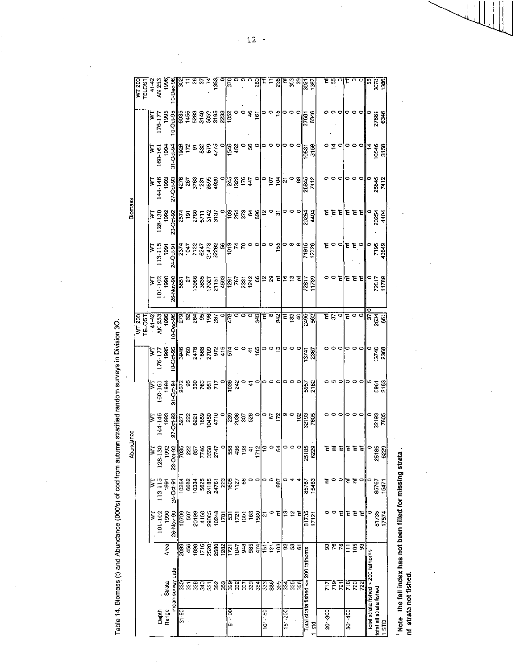Table 14. Biomass (t) and Abundance (000's) of cod from autumn stratified random surveys in Division 30.

 $\ddot{\phantom{1}}$ 

|                | $\overline{W1200}$       | <b>TELOST</b> | $41 - 42$                 | AN 253      | 1996           | 0-Dec-96           |                 |                                | 857       | 1353                                                                                                                                                                                                                                                                                                                                                                                                                            | 『 |                                |    |              | 260                            |             | ΈĘ                          | 235              | Έ           | ន្ត ន                       |                                                                                  | 3021<br>1307                       |       | E B     |              |   | و ۽     |               |                         | ľв                                | <b>SS</b>               |                   |
|----------------|--------------------------|---------------|---------------------------|-------------|----------------|--------------------|-----------------|--------------------------------|-----------|---------------------------------------------------------------------------------------------------------------------------------------------------------------------------------------------------------------------------------------------------------------------------------------------------------------------------------------------------------------------------------------------------------------------------------|---|--------------------------------|----|--------------|--------------------------------|-------------|-----------------------------|------------------|-------------|-----------------------------|----------------------------------------------------------------------------------|------------------------------------|-------|---------|--------------|---|---------|---------------|-------------------------|-----------------------------------|-------------------------|-------------------|
|                |                          |               | Þ                         | $176 - 17$  | 1995           | 10-Oct-95          |                 | $\frac{145}{1455}$             |           | ឌូ ទី នី ឌូ ឌូ ឌូ ឌូ<br>ឌូ ី ខូ ឌូ ឌូ ឌូ ឌូ                                                                                                                                                                                                                                                                                                                                                                                     |   |                                |    | 46           |                                |             |                             | မ္               |             |                             |                                                                                  | 27661                              | 6346  |         |              |   | 0       |               |                         |                                   | 27681                   | 6346              |
|                |                          |               | $\mathbb F$               | 160-161     | 1994           | $31 - Oct.9$       |                 |                                |           |                                                                                                                                                                                                                                                                                                                                                                                                                                 |   |                                |    |              |                                |             |                             |                  |             |                             |                                                                                  | 10531<br>3158                      |       |         | $\tilde{a}$  |   |         | 。。            |                         | $\frac{1}{4}$                     | 10546<br>3158           |                   |
|                |                          |               | β                         | 144-146     | 1993           | $27 - 0c + 92$     |                 | 4278<br>3763                   | ភូមិ ខ្លួ |                                                                                                                                                                                                                                                                                                                                                                                                                                 |   |                                |    |              |                                |             | $\frac{1}{2}$ $\frac{5}{4}$ |                  | Ñ           |                             | 8                                                                                | 26845<br>7412                      |       |         |              |   |         |               |                         |                                   | 26845                   | 7412              |
| <b>Biomass</b> |                          |               | $ \Xi $                   | 128-130     | 1892           | 23-Oct-92          |                 | ន្ត្រី<br>ខេត្តក្នុង<br>ន្ត្រី |           |                                                                                                                                                                                                                                                                                                                                                                                                                                 |   |                                |    |              | <mark>ႜ</mark> ၣႜႍႜႜႜႜၟၓႜၟၛၟႜၣ |             |                             | 5                |             |                             |                                                                                  | 20254                              | 4404  | č       | Ε<br>Έ       |   |         | 도 혼           | Е                       |                                   | 20254                   | 4404              |
|                |                          |               | ∑                         | $113 - 115$ | 1991           |                    |                 |                                |           |                                                                                                                                                                                                                                                                                                                                                                                                                                 |   |                                |    | 00           |                                |             |                             | 155              |             | ၁ ထ ထ                       |                                                                                  | 71915<br>12726                     |       |         | 00           |   |         | e e∘          |                         |                                   | 7195                    | 43649             |
|                |                          |               | Σ                         | 101-102     | <b>S66</b>     | 26-Nov-90          |                 | 665<br>2                       |           | $\begin{array}{l l l} \text{396} & \text{398} \\ \text{398} & \text{398} \\ \text{398} & \text{398} \\ \text{398} & \text{398} \\ \text{398} & \text{398} \\ \text{308} & \text{398} \\ \text{308} & \text{398} \\ \text{308} & \text{398} \\ \text{308} & \text{398} \\ \text{308} & \text{398} \\ \text{308} & \text{398} \\ \text{308} & \text{398} \\ \text{308} & \text{398} \\ \$                                         |   |                                |    |              |                                |             |                             | Ē                |             | ಱ಼ ಐ ≅                      |                                                                                  | 72817                              | 11789 | o       |              |   |         | 로 로 리         |                         |                                   | 72817                   | 11789             |
|                | $\frac{1500}{\sqrt{15}}$ |               | $41 - 42$                 | AN 253      | 1996           | $0 - 56$           |                 |                                |           | ត្តិ ក្នុង ក្នុង ក្នុង<br>ក្នុង ក្នុង ក្នុង                                                                                                                                                                                                                                                                                                                                                                                     |   |                                | ರರ |              | 340                            | μL.         | $\mathbf{e}$                | 342              |             |                             | <b>E</b> ខ្លី ទៀ                                                                 | 2492                               |       |         |              |   |         |               |                         |                                   |                         |                   |
|                |                          |               | Ε                         | 176-177     | 1995           | 85<br>0.04<br>0.04 |                 |                                |           |                                                                                                                                                                                                                                                                                                                                                                                                                                 |   |                                |    | $rac{4}{65}$ |                                |             | 00                          | ္                |             |                             |                                                                                  | 13741<br>2367                      |       |         |              |   |         | o             |                         |                                   | 13740                   | 2368              |
|                |                          |               | Σ                         | 160-161     | $\frac{5}{2}$  | $31 - Oct.94$      |                 |                                |           | ត្ត្រី ឆ្លូ ឆ្លូ ឆ្លូ ភ្ន<br>ត្រូវ                                                                                                                                                                                                                                                                                                                                                                                              |   | <u>ျဖ</u> ွန္မွ <del>၀</del> န |    |              |                                |             |                             |                  |             |                             |                                                                                  | 5957<br>2162                       |       |         |              |   | 0       |               |                         |                                   | 5961                    | 2163              |
|                |                          |               | Þ                         | 144-146     | <b>981</b>     |                    |                 |                                |           | $\begin{array}{r} 27 - 0.48 \\ - 0.71 \\ - 0.71 \\ - 0.71 \\ - 0.71 \\ - 0.71 \\ - 0.71 \\ - 0.71 \\ - 0.71 \\ - 0.71 \\ - 0.71 \\ - 0.71 \\ - 0.71 \\ - 0.71 \\ - 0.71 \\ - 0.71 \\ - 0.71 \\ - 0.71 \\ - 0.71 \\ - 0.71 \\ - 0.71 \\ - 0.71 \\ - 0.71 \\ - 0.71 \\ - 0.71 \\ - 0.71 \\ - 0.71 \\ - 0.71 \\ - 0.71 \\ - 0.71 \\$                                                                                               |   |                                |    |              |                                |             |                             |                  |             | $\circ$                     | 102                                                                              | 32193<br>7605                      |       |         |              |   |         |               |                         |                                   | 32193<br>7605           |                   |
| Abundance      |                          |               |                           | 128         |                | $23 - 0c$          |                 |                                |           | $5.3888888782878788787287720$                                                                                                                                                                                                                                                                                                                                                                                                   |   |                                |    |              |                                |             |                             | 3                |             |                             | $\begin{bmatrix} 0 & 0 & 0 \\ 0 & 0 & 0 \\ 0 & 0 & 0 \\ 0 & 0 & 0 \end{bmatrix}$ |                                    |       |         | 호텔           |   | ee      |               | Έ                       | $\circ$                           | 25185                   | 229<br>¢          |
|                |                          |               | $\overline{\overline{s}}$ | $113 - 115$ | 1991           |                    |                 |                                |           |                                                                                                                                                                                                                                                                                                                                                                                                                                 |   |                                |    |              |                                | 0           |                             | 887              |             |                             |                                                                                  | 85767                              | 15463 | Έ       | $\circ$<br>۰ |   | ਤ ਤ     |               | $\circ$                 | $\circ$                           | 85767                   | 15471             |
|                |                          |               | ţ                         | 101-102     | 1930           | 26-Nov-90          | 10709           | 507                            |           | ទូតូនូ ទូតូនូ គឺ<br>ខ្លួន ខេត្ត ដែល<br>ស្ថិត ក្នុង ក្នុង ក្នុង ក្នុង                                                                                                                                                                                                                                                                                                                                                            |   |                                |    |              | ទ <u>្ធ ន</u> ្ទុង             |             | Ø                           | Έ                |             | $\frac{1}{2}$ $\frac{1}{2}$ |                                                                                  | 81735                              | 17121 |         | 0            | 논 | E       | 苫             | Έ                       |                                   | 81735                   | 17574             |
|                |                          |               |                           |             | Area           |                    | $\frac{8}{200}$ |                                |           | $\begin{array}{r}\n 456 \\  + 388 \\  + 716 \\  \hline\n 2520 \\  \hline\n 2530 \\  \hline\n 2520 \\  \hline\n 121 \\  \hline\n 121 \\  \hline\n 121 \\  \hline\n 121 \\  \hline\n 121 \\  \hline\n 121 \\  \hline\n 121 \\  \hline\n 121 \\  \hline\n 121 \\  \hline\n 121 \\  \hline\n 121 \\  \hline\n 121 \\  \hline\n 121 \\  \hline\n 121 \\  \hline\n 121 \\  \hline\n 121 \\  \hline\n 121 \\  \hline\n 121 \\  \hline$ |   |                                |    |              | 88757                          |             |                             | छ                |             | និងខ                        |                                                                                  |                                    |       |         | इह्र         |   | Ξ       | $\frac{1}{2}$ | $\overline{\mathbb{S}}$ |                                   |                         |                   |
|                |                          |               |                           |             | Strata         | mean survey date   |                 |                                |           | និន្ទនីខ្ទុងនូវនិងមន្ទ                                                                                                                                                                                                                                                                                                                                                                                                          |   |                                |    |              |                                |             |                             | $\frac{25}{355}$ | 334         | 3356                        |                                                                                  | Total strata fished <= 200 fathoms |       |         | हरू          |   |         | ក្ដុ          | $\overline{22}$         | total strata fished > 200 fathoms |                         |                   |
|                |                          |               |                           |             | Depth<br>Range |                    | $\frac{50}{31}$ |                                |           |                                                                                                                                                                                                                                                                                                                                                                                                                                 |   | 51-100                         |    |              |                                | $101 - 150$ |                             |                  | $151 - 200$ |                             |                                                                                  |                                    | ដូ    | 201-300 |              |   | 301-400 |               |                         |                                   | total all strata fished | 1.8T <sub>D</sub> |

<sup>1</sup> Note the fall index has not been filled for missing strata.<br>nf strata not fished.

 $-12$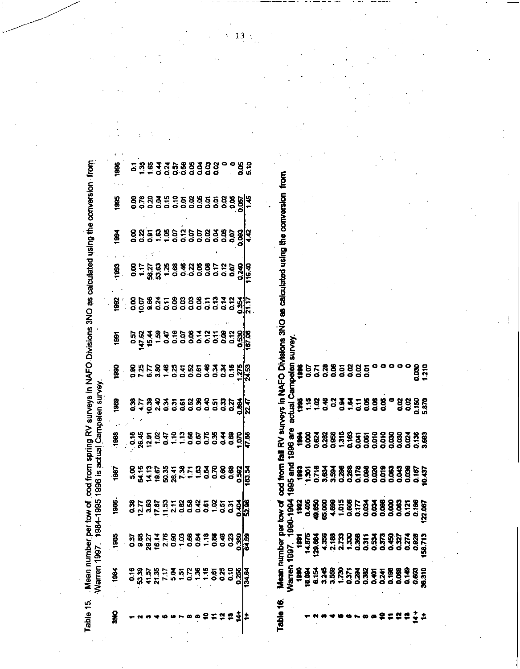Table 15. Mean number per tow of .cod from spring RV surveys in NAFO Divisions 3NO as calculated using the conversion .from<br>Warren 1997, 1984-1995 1996 is actual Campelen survey.

 $\ddot{\phantom{0}}$ 

| ğ          |                                                         |  | ្ត<br>ក្នុងនិងបង្កើនទីទីនឹង - ទី៥<br>ក្នុងនិងបង្កើនទីនឹង - ទី៥                                 |  |  |  |          |          |              |
|------------|---------------------------------------------------------|--|------------------------------------------------------------------------------------------------|--|--|--|----------|----------|--------------|
| ğ          |                                                         |  | ខ្លួន ខ្លួន ខ្លួន ខ្លួន ខ្លួន ខ្លួន<br>ខ្លួន ខ្លួន ខ្លួន ខ្លួន ខ្លួន ខ្លួន ខ្លួន               |  |  |  |          |          |              |
| <u>g</u>   |                                                         |  |                                                                                                |  |  |  |          |          |              |
| <u>ଞ</u>   |                                                         |  |                                                                                                |  |  |  |          |          |              |
|            | 9.858375988552337                                       |  |                                                                                                |  |  |  |          |          |              |
| <u>ጀ</u>   |                                                         |  | ភ្នំ<br>ក្នុង ក្នុង ក្នុង ក្នុង ក្នុង ក្នុង ក្នុង<br>ក្នុង ក្នុង ក្នុង ក្នុង ក្នុង ក្នុង ក្នុង |  |  |  |          |          |              |
| ğ          | ទីដូកខ្លួនដូចទី១១១១១១២ អង្គ<br>ខែមី មី មី ដូចទី១១១១១១១២ |  |                                                                                                |  |  |  |          |          |              |
| Š          |                                                         |  | ទី២និទ្ធិមួយ និទ្ធិមួយ និទ្ធិទី២<br>ក្នុង ក្នុង ក្នុង ក្នុង ក្នុង ក្នុង ក្នុង                  |  |  |  |          |          |              |
| 1888       |                                                         |  |                                                                                                |  |  |  |          |          |              |
| $\ddot{3}$ |                                                         |  | ទ<br>ក្នុង ភូមិ អូ ក្នុង ភូមិ ក្នុង ខែ ខេ ខេ ខេ<br>ក្នុង ភូមិ អូ ក្នុង ភូមិ ក្នុង ខេ ខេ        |  |  |  |          |          | <b>13.54</b> |
| 1986       |                                                         |  | ទី ដូច ទី ដូច មិន មិន មិន មិន មិន<br>ស្រុក មិន មិន មិន មិន មិន មិន មិន មិន                     |  |  |  |          |          |              |
|            | ິ                                                       |  |                                                                                                |  |  |  |          | គ្គ<br>ក |              |
|            |                                                         |  | ទីគីច្និងដូច<br>ក្នុងដូច ក្នុងដូច<br>ក្នុងដូច ក្នុងដូច                                         |  |  |  | 32<br>22 | ង្ក      | <u>।ਕ</u>    |
| š          |                                                         |  |                                                                                                |  |  |  |          |          |              |

Table 16. Mean number per tow of cod from fall RV surveys in NAFO Divisions 3NO as calculated using the conversion from  $\dot{\bullet}$ 

|      | គ្រួន និង អូ អូ ខេត្ត ក្នុង អូ ខេត្ត កូ ខេត្ត មិន<br>កូ ខេត្ត កូ អូ អូ ខេត្ត កូ ខេត្ត កូ ខេត្ត កូ ខេត្ត កូ ខេត្ត<br>កូ ខេត្ត កូ កូ កូ ខេត្ត កូ ខេត្ត កូ ខេត្ត កូ ខេត្ត | $1997. 1990-1994\n1991\n1991\n1982\n1983\n14875\n14875\n14886\n14886\n14887\n14888\n14889\n1489\n1489\n1489\n1489\n1489\n1489\n1489\n1489\n1489\n1489\n1489\n1489\n1489\n1489\n1489\n1489\n1489\$ |  | actual | Campelen                                      |
|------|------------------------------------------------------------------------------------------------------------------------------------------------------------------------|---------------------------------------------------------------------------------------------------------------------------------------------------------------------------------------------------|--|--------|-----------------------------------------------|
|      |                                                                                                                                                                        |                                                                                                                                                                                                   |  |        |                                               |
|      |                                                                                                                                                                        |                                                                                                                                                                                                   |  |        |                                               |
|      |                                                                                                                                                                        |                                                                                                                                                                                                   |  |        |                                               |
|      |                                                                                                                                                                        |                                                                                                                                                                                                   |  |        |                                               |
|      |                                                                                                                                                                        |                                                                                                                                                                                                   |  |        |                                               |
|      |                                                                                                                                                                        |                                                                                                                                                                                                   |  |        | ត្ត<br>ត្តូននីក្នុងមិនទី<br>ត្តូននីក្នុងមិនទី |
|      |                                                                                                                                                                        |                                                                                                                                                                                                   |  |        |                                               |
|      |                                                                                                                                                                        |                                                                                                                                                                                                   |  |        |                                               |
|      |                                                                                                                                                                        |                                                                                                                                                                                                   |  |        |                                               |
|      |                                                                                                                                                                        |                                                                                                                                                                                                   |  |        |                                               |
|      |                                                                                                                                                                        |                                                                                                                                                                                                   |  |        |                                               |
|      |                                                                                                                                                                        |                                                                                                                                                                                                   |  |        |                                               |
|      |                                                                                                                                                                        |                                                                                                                                                                                                   |  |        |                                               |
| 유효중부 |                                                                                                                                                                        |                                                                                                                                                                                                   |  |        |                                               |
|      |                                                                                                                                                                        |                                                                                                                                                                                                   |  |        | ទន្ល<br>ខេត្ត<br>- ១                          |
|      |                                                                                                                                                                        |                                                                                                                                                                                                   |  |        |                                               |

 $\ddot{\mathbf{z}}$  $13$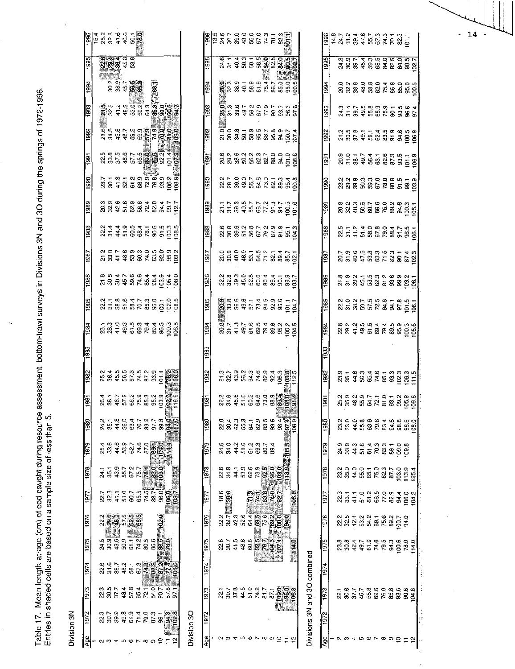|             |               |     |                         |        |                                            |            |                 |                                                  |                                                                                                                                                                                                                                                               |             |                  | $\begin{array}{l} \left[\begin{array}{l} 0 \\ 0 \\ 0 \end{array}\right] \left[\begin{array}{l} 1 \\ 0 \\ 0 \end{array}\right] \left[\begin{array}{l} 0 \\ 0 \\ 0 \end{array}\right] \left[\begin{array}{l} 0 \\ 0 \\ 0 \end{array}\right] \left[\begin{array}{l} 0 \\ 0 \\ 0 \end{array}\right] \left[\begin{array}{l} 0 \\ 0 \\ 0 \end{array}\right] \left[\begin{array}{l} 0 \\ 0 \\ 0 \end{array}\right] \left[\begin{array}{l} 0 \\ 0 \\ 0 \end{array}\right] \left[\begin{array}{l} 0 \\ 0 \\ 0 \end{array$ |                |                                                                                                                                                                                                                                                                                                                                                                                                                                                                                                                                                                                                                                                                               |  |                                                              |  |       |       |                              |                             |            |                                      |  |                     | $\begin{array}{l} 88.783888888878877 \\ 88.783888888888878885 \end{array}$                                                                                                                                                                                                                          |                              |  |
|-------------|---------------|-----|-------------------------|--------|--------------------------------------------|------------|-----------------|--------------------------------------------------|---------------------------------------------------------------------------------------------------------------------------------------------------------------------------------------------------------------------------------------------------------------|-------------|------------------|------------------------------------------------------------------------------------------------------------------------------------------------------------------------------------------------------------------------------------------------------------------------------------------------------------------------------------------------------------------------------------------------------------------------------------------------------------------------------------------------------------------|----------------|-------------------------------------------------------------------------------------------------------------------------------------------------------------------------------------------------------------------------------------------------------------------------------------------------------------------------------------------------------------------------------------------------------------------------------------------------------------------------------------------------------------------------------------------------------------------------------------------------------------------------------------------------------------------------------|--|--------------------------------------------------------------|--|-------|-------|------------------------------|-----------------------------|------------|--------------------------------------|--|---------------------|-----------------------------------------------------------------------------------------------------------------------------------------------------------------------------------------------------------------------------------------------------------------------------------------------------|------------------------------|--|
|             | 1995          |     |                         | 888922 |                                            |            |                 |                                                  |                                                                                                                                                                                                                                                               |             | 1995             |                                                                                                                                                                                                                                                                                                                                                                                                                                                                                                                  |                | ত্ত্ত্ত্ত্ত্ত্ত্ত্ত্ব<br>ম.ম.ব.ম.ম.ম.ম.ম.ম.ম.                                                                                                                                                                                                                                                                                                                                                                                                                                                                                                                                                                                                                                 |  |                                                              |  |       |       |                              | 1995                        |            |                                      |  |                     | គ្នាក្នុងគ្នាក្នុងគ្នាក្នុង<br>ស៊ីនីនី ទី នី នី នី នី នី នី នី នី                                                                                                                                                                                                                                   |                              |  |
|             | $\frac{3}{2}$ |     |                         |        |                                            |            |                 |                                                  |                                                                                                                                                                                                                                                               |             | 1994             |                                                                                                                                                                                                                                                                                                                                                                                                                                                                                                                  |                | $\frac{1}{2}$ $\frac{1}{2}$ $\frac{3}{2}$ $\frac{3}{2}$ $\frac{3}{2}$ $\frac{4}{2}$ $\frac{5}{2}$ $\frac{3}{2}$ $\frac{3}{2}$ $\frac{4}{2}$ $\frac{5}{2}$ $\frac{3}{2}$ $\frac{3}{2}$ $\frac{3}{2}$ $\frac{3}{2}$ $\frac{3}{2}$ $\frac{3}{2}$ $\frac{3}{2}$ $\frac{3}{2}$ $\frac{3}{2}$ $\frac{3}{2}$ $\frac{3}{2}$                                                                                                                                                                                                                                                                                                                                                           |  |                                                              |  |       |       |                              | 1994                        |            |                                      |  |                     |                                                                                                                                                                                                                                                                                                     |                              |  |
|             | 1993          |     |                         |        |                                            |            |                 |                                                  |                                                                                                                                                                                                                                                               |             | 5661             |                                                                                                                                                                                                                                                                                                                                                                                                                                                                                                                  |                | ្ត្រី<br><b>ស្ថិ</b> នី មិនី មិនី មិនី មិនី មិនី<br>ស្ថិត មិនី មិនី មិនី មិនី មិនី                                                                                                                                                                                                                                                                                                                                                                                                                                                                                                                                                                                            |  |                                                              |  |       |       |                              | 1993                        |            |                                      |  |                     | 3 3 5 6 9 9 9 9 1 9 9 9 1<br>3 5 9 9 9 9 9 9 9 9 9 9 9                                                                                                                                                                                                                                              |                              |  |
|             | 1992          |     |                         |        |                                            |            |                 |                                                  |                                                                                                                                                                                                                                                               |             | 1992             |                                                                                                                                                                                                                                                                                                                                                                                                                                                                                                                  |                | ិ<br>ក្នុង – ទំនុង – ទំនុង – ទំនុង<br>មាន មាន ក្នុង ក្នុង ក្នុង                                                                                                                                                                                                                                                                                                                                                                                                                                                                                                                                                                                                               |  |                                                              |  |       |       |                              | $\frac{92}{2}$              |            |                                      |  |                     |                                                                                                                                                                                                                                                                                                     |                              |  |
|             |               |     |                         |        |                                            |            |                 |                                                  |                                                                                                                                                                                                                                                               |             | 힑                |                                                                                                                                                                                                                                                                                                                                                                                                                                                                                                                  |                |                                                                                                                                                                                                                                                                                                                                                                                                                                                                                                                                                                                                                                                                               |  |                                                              |  |       |       |                              | $\frac{1991}{2}$            |            |                                      |  |                     |                                                                                                                                                                                                                                                                                                     |                              |  |
|             | 1990          |     |                         |        |                                            |            |                 |                                                  | ្ដ<br>នានា ដូច មិន ស្ថិត ស្ថិត ស្ថិត<br>នានា ដូច មិន ស្ថិត ស្ថិត ស្ថិត                                                                                                                                                                                        |             | 1990             |                                                                                                                                                                                                                                                                                                                                                                                                                                                                                                                  |                | $\begin{array}{l} \mathcal{U} \rightarrow \mathcal{G} \rightarrow \mathcal{G} \rightarrow \mathcal{G} \rightarrow \mathcal{G} \rightarrow \mathcal{G} \rightarrow \mathcal{G} \rightarrow \mathcal{G} \rightarrow \mathcal{G} \rightarrow \mathcal{G} \rightarrow \mathcal{G} \rightarrow \mathcal{G} \rightarrow \mathcal{G} \rightarrow \mathcal{G} \rightarrow \mathcal{G} \rightarrow \mathcal{G} \rightarrow \mathcal{G} \rightarrow \mathcal{G} \rightarrow \mathcal{G} \rightarrow \mathcal{G} \rightarrow \mathcal{G} \rightarrow \mathcal{G} \rightarrow \mathcal{G} \rightarrow \mathcal{G} \rightarrow \mathcal{G} \rightarrow \mathcal{G} \rightarrow \mathcal{G$ |  |                                                              |  |       |       |                              | 1990                        |            |                                      |  |                     |                                                                                                                                                                                                                                                                                                     |                              |  |
|             |               |     |                         |        |                                            |            |                 |                                                  |                                                                                                                                                                                                                                                               |             | $\frac{389}{2}$  |                                                                                                                                                                                                                                                                                                                                                                                                                                                                                                                  |                |                                                                                                                                                                                                                                                                                                                                                                                                                                                                                                                                                                                                                                                                               |  |                                                              |  |       |       |                              | $\frac{8}{2}$               |            |                                      |  |                     | 8 3 4 5 6 6 6 7 8 9 9 9 1<br>8 3 4 5 6 6 7 8 9 9 0 1                                                                                                                                                                                                                                                |                              |  |
|             |               |     |                         |        |                                            |            |                 |                                                  |                                                                                                                                                                                                                                                               |             | 1988             |                                                                                                                                                                                                                                                                                                                                                                                                                                                                                                                  |                |                                                                                                                                                                                                                                                                                                                                                                                                                                                                                                                                                                                                                                                                               |  |                                                              |  |       |       |                              | 3861                        |            |                                      |  |                     |                                                                                                                                                                                                                                                                                                     |                              |  |
|             | 1987          |     |                         |        |                                            |            |                 |                                                  |                                                                                                                                                                                                                                                               |             | 1987             |                                                                                                                                                                                                                                                                                                                                                                                                                                                                                                                  |                |                                                                                                                                                                                                                                                                                                                                                                                                                                                                                                                                                                                                                                                                               |  |                                                              |  |       |       |                              | $\frac{1987}{2}$            |            |                                      |  |                     |                                                                                                                                                                                                                                                                                                     |                              |  |
|             | 1986          |     |                         |        |                                            |            |                 |                                                  | $7888888886008$                                                                                                                                                                                                                                               |             | 1986             |                                                                                                                                                                                                                                                                                                                                                                                                                                                                                                                  |                | $\begin{array}{l} 21.83 & 23.83 & 25.83 & 25.83 & 25.83 & 25.83 & 25.83 & 25.83 & 25.83 & 25.83 & 25.83 & 25.83 & 25.83 & 25.83 & 25.83 & 25.83 & 25.83 & 25.83 & 25.83 & 25.83 & 25.83 & 25.83 & 25.83 & 25.83 & 25.83 & 25.83 & 25.83 & 25.83 & 25.83 & 25.83 & 25$                                                                                                                                                                                                                                                                                                                                                                                                         |  |                                                              |  |       |       |                              | 1986                        |            |                                      |  |                     | 8 9 8 5 6 9 9 9 9 9 9 1<br>5 5 8 9 8 8 9 5 6 8 9 9 9                                                                                                                                                                                                                                                |                              |  |
|             | 1985          |     |                         |        |                                            |            |                 |                                                  | $\begin{array}{l} 21118000000\\ 2311000000\\ 241100000\\ 24110000\\ 24110000\\ 24110000\\ 2411000\\ 2411000\\ 2411000\\ 2411000\\ 2411000\\ 2411000\\ 2411000\\ 2411000\\ 2411000\\ 2411000\\ 2411000\\ 2411000\\ 2411000\\ 2411000\\ 2411000\\ 2411000\\ 24$ |             |                  |                                                                                                                                                                                                                                                                                                                                                                                                                                                                                                                  |                |                                                                                                                                                                                                                                                                                                                                                                                                                                                                                                                                                                                                                                                                               |  |                                                              |  |       |       |                              |                             |            |                                      |  |                     | $23.585528352845264$                                                                                                                                                                                                                                                                                |                              |  |
|             |               |     |                         |        |                                            |            |                 |                                                  |                                                                                                                                                                                                                                                               |             | 1985             |                                                                                                                                                                                                                                                                                                                                                                                                                                                                                                                  |                |                                                                                                                                                                                                                                                                                                                                                                                                                                                                                                                                                                                                                                                                               |  |                                                              |  |       |       |                              | $\left \frac{95}{2}\right $ |            |                                      |  |                     |                                                                                                                                                                                                                                                                                                     |                              |  |
|             | 1984          |     |                         |        |                                            |            |                 |                                                  |                                                                                                                                                                                                                                                               |             | 1984             |                                                                                                                                                                                                                                                                                                                                                                                                                                                                                                                  |                |                                                                                                                                                                                                                                                                                                                                                                                                                                                                                                                                                                                                                                                                               |  |                                                              |  |       |       |                              | $\overline{1861}$           |            |                                      |  |                     | $\begin{array}{l} 23.23 \\ 24.23 \\ 25.34 \\ 26.45 \\ 27.45 \\ 28.45 \\ 29.45 \\ 20.45 \\ 21.45 \\ 22.45 \\ 23.45 \\ 24.45 \\ 25.45 \\ 26.45 \\ 27.45 \\ 28.45 \\ 29.45 \\ 20.45 \\ 21.45 \\ 22.45 \\ 23.45 \\ 24.45 \\ 25.45 \\ 26.45 \\ 27.45 \\ 28.45 \\ 29.45 \\ 20.45 \\ 21.45 \\ 22.45 \\ 23$ |                              |  |
|             | 1983          |     |                         |        |                                            |            |                 |                                                  |                                                                                                                                                                                                                                                               |             |                  |                                                                                                                                                                                                                                                                                                                                                                                                                                                                                                                  |                |                                                                                                                                                                                                                                                                                                                                                                                                                                                                                                                                                                                                                                                                               |  |                                                              |  |       |       |                              | ğ                           |            |                                      |  |                     |                                                                                                                                                                                                                                                                                                     |                              |  |
|             | 1982          |     |                         |        |                                            |            |                 |                                                  | 2<br>2848674885 <b>889</b>                                                                                                                                                                                                                                    |             | 1982             |                                                                                                                                                                                                                                                                                                                                                                                                                                                                                                                  |                | $\begin{array}{l} 22.799399999438888888821 \\ 23.899994888888888888881 \end{array}$                                                                                                                                                                                                                                                                                                                                                                                                                                                                                                                                                                                           |  |                                                              |  |       |       |                              | $\frac{2}{19}$              |            |                                      |  |                     | $35.783349.7333333355$                                                                                                                                                                                                                                                                              |                              |  |
|             | 1981          |     |                         |        |                                            |            |                 |                                                  |                                                                                                                                                                                                                                                               |             | $\frac{1981}{2}$ |                                                                                                                                                                                                                                                                                                                                                                                                                                                                                                                  |                | ੑ<br>ਲ਼ਖ਼ਖ਼੶ਲ਼ਫ਼ਖ਼ਲ਼ਫ਼ੑ <mark>ਲ਼ੑਫ਼</mark> ਲ਼                                                                                                                                                                                                                                                                                                                                                                                                                                                                                                                                                                                                                                 |  |                                                              |  |       |       |                              | $\frac{1881}{ }$            |            |                                      |  |                     |                                                                                                                                                                                                                                                                                                     |                              |  |
|             | 1980          |     |                         |        |                                            |            |                 |                                                  | २ मृ. २ ० ५ ८ ० ८ ० ७ <mark>७ ० ९</mark><br>२ ५ ३ ५ ७ ८ ० ० ० ० <u>७ ७ ८</u>                                                                                                                                                                                  |             | 1980             |                                                                                                                                                                                                                                                                                                                                                                                                                                                                                                                  | ្លួ 4<br>ន     |                                                                                                                                                                                                                                                                                                                                                                                                                                                                                                                                                                                                                                                                               |  | $25.75 + 0.95 + 0.44 + 0.06$<br>$25.75 + 0.95 + 0.44 + 0.06$ |  |       |       |                              | 1980                        |            |                                      |  |                     |                                                                                                                                                                                                                                                                                                     |                              |  |
|             | 1979          |     |                         |        |                                            |            |                 |                                                  |                                                                                                                                                                                                                                                               |             |                  |                                                                                                                                                                                                                                                                                                                                                                                                                                                                                                                  |                |                                                                                                                                                                                                                                                                                                                                                                                                                                                                                                                                                                                                                                                                               |  |                                                              |  |       |       |                              |                             |            |                                      |  |                     |                                                                                                                                                                                                                                                                                                     |                              |  |
|             |               |     |                         |        |                                            |            |                 | 4 9 9 9 1 9 9 5 6 7 9 4<br>8 9 4 9 9 4 5 8 9 9 4 |                                                                                                                                                                                                                                                               |             | 1979             |                                                                                                                                                                                                                                                                                                                                                                                                                                                                                                                  |                | នុក្ខ ។ ១ ។ ១ ២ ។<br>ក្ដី ដី ដី ឆ្នំ ២ ២ ២ ១ ២                                                                                                                                                                                                                                                                                                                                                                                                                                                                                                                                                                                                                                |  |                                                              |  | 105.5 |       |                              | 1979                        |            |                                      |  |                     |                                                                                                                                                                                                                                                                                                     |                              |  |
|             | 1978          |     |                         |        | ងនិងនាង                                    | <b>TAS</b> | $\frac{9}{2}$   | $\ddot{a}$                                       |                                                                                                                                                                                                                                                               |             | 1978             |                                                                                                                                                                                                                                                                                                                                                                                                                                                                                                                  |                |                                                                                                                                                                                                                                                                                                                                                                                                                                                                                                                                                                                                                                                                               |  |                                                              |  |       |       |                              | 1978                        |            | 2009070307                           |  |                     |                                                                                                                                                                                                                                                                                                     | $103.9$<br>$13.3$<br>$125.4$ |  |
|             | 197           |     | ន្ត ន្ទុ<br>ន្ន ន្ទុ ដ្ |        |                                            |            | 525557<br>58578 |                                                  | $-125.4$<br>$rac{1}{660}$                                                                                                                                                                                                                                     |             | $\frac{5}{2}$    |                                                                                                                                                                                                                                                                                                                                                                                                                                                                                                                  | $18.6$<br>38.9 |                                                                                                                                                                                                                                                                                                                                                                                                                                                                                                                                                                                                                                                                               |  | FASAR<br>PASAR                                               |  |       |       |                              | 197                         | 23<br>33.1 |                                      |  |                     | $1009900400$ $100900400$ $1000000400$                                                                                                                                                                                                                                                               |                              |  |
|             | 1976          |     |                         |        | ្ត ខ្លួន ១ ឆ្នាំ<br>ក្តី <b>ខ្លួ</b> ភ្លូង |            |                 |                                                  |                                                                                                                                                                                                                                                               |             | 1976             |                                                                                                                                                                                                                                                                                                                                                                                                                                                                                                                  |                |                                                                                                                                                                                                                                                                                                                                                                                                                                                                                                                                                                                                                                                                               |  |                                                              |  |       | 0.901 |                              | 1976                        |            | 2 5 4 5 5 6 7 6 7<br>2 5 7 6 7 6 7 8 |  |                     |                                                                                                                                                                                                                                                                                                     | $8\frac{1}{9}$               |  |
|             | 1975          |     |                         |        |                                            |            |                 | 1020                                             |                                                                                                                                                                                                                                                               |             | 1975             |                                                                                                                                                                                                                                                                                                                                                                                                                                                                                                                  |                |                                                                                                                                                                                                                                                                                                                                                                                                                                                                                                                                                                                                                                                                               |  |                                                              |  |       |       |                              |                             |            | 8845<br>8845                         |  | ិ<br>ក្នុង<br>ចំនួន |                                                                                                                                                                                                                                                                                                     | 00000                        |  |
|             | 1974          |     |                         |        |                                            |            |                 |                                                  |                                                                                                                                                                                                                                                               |             | 197              |                                                                                                                                                                                                                                                                                                                                                                                                                                                                                                                  |                | $\begin{array}{l} 0.76660 \\ 0.00000 \\ 0.00000 \\ 0.00000 \\ 0.00000 \\ 0.00000 \\ 0.00000 \\ 0.00000 \\ 0.00000 \\ 0.00000 \\ 0.00000 \\ 0.00000 \\ 0.00000 \\ 0.00000 \\ 0.00000 \\ 0.00000 \\ 0.00000 \\ 0.00000 \\ 0.00000 \\ 0.00000 \\ 0.00000 \\ 0.00000 \\ 0.00000 \\ 0.000$                                                                                                                                                                                                                                                                                                                                                                                         |  |                                                              |  |       |       |                              | $\frac{1975}{ }$            |            |                                      |  |                     |                                                                                                                                                                                                                                                                                                     |                              |  |
|             |               |     |                         |        |                                            |            |                 |                                                  |                                                                                                                                                                                                                                                               |             |                  |                                                                                                                                                                                                                                                                                                                                                                                                                                                                                                                  |                |                                                                                                                                                                                                                                                                                                                                                                                                                                                                                                                                                                                                                                                                               |  |                                                              |  |       |       |                              | $\frac{101}{4}$             |            |                                      |  |                     |                                                                                                                                                                                                                                                                                                     |                              |  |
|             | 1973          |     |                         |        |                                            |            |                 |                                                  | 3<br>882484582825                                                                                                                                                                                                                                             |             | ë                |                                                                                                                                                                                                                                                                                                                                                                                                                                                                                                                  |                | 2524524552525                                                                                                                                                                                                                                                                                                                                                                                                                                                                                                                                                                                                                                                                 |  |                                                              |  | 8988  |       |                              | 1973                        |            | 185788608<br>18588868                |  |                     | 92.6                                                                                                                                                                                                                                                                                                | 90.8<br>04.8                 |  |
| Division 3N | 19.5<br>ই     | പ ന |                         |        |                                            | - 00       |                 |                                                  |                                                                                                                                                                                                                                                               | Division 30 | 1972<br>åge      |                                                                                                                                                                                                                                                                                                                                                                                                                                                                                                                  |                |                                                                                                                                                                                                                                                                                                                                                                                                                                                                                                                                                                                                                                                                               |  |                                                              |  |       |       | Divisions 3N and 3O combined | $\frac{5}{2}$<br>Age        |            |                                      |  |                     |                                                                                                                                                                                                                                                                                                     |                              |  |

e<br>Brangrand<br>Brangrand

Table 17. Mean length-at-age (cm) of cod caught during resource assessment bottom-trawl surveys in Divisions 3N and 3O during the springs of 1972-1996. Entries in shaded cells are based on a sample size of less than 5. 14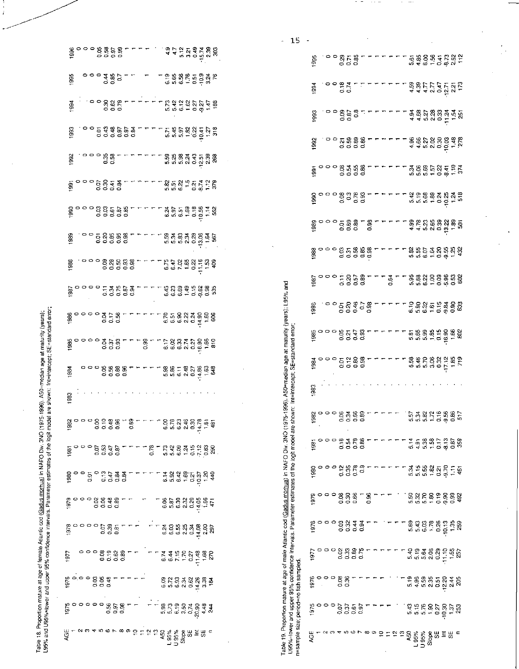Table 18. Proportion mature at age of female Atlantic cod (Gadus morhua) in NAFO Div. 3NO (1975-1996). A50=median age at maturity (years);<br>L95% and U95%=lower and upper 95% confidence intervals. Parameter estimates of the

 $\overline{a}$ 

 $\frac{1}{i}$ 

|                                                                    |  |  |  |  |  |  |  |  |  | ី<br>ការបានបានបានបានប្រទេសថា<br>ការបានបានបានប្រទេសថា                                                                                                                                                                                                                                                                                                                                                             |  |  |  |  |
|--------------------------------------------------------------------|--|--|--|--|--|--|--|--|--|------------------------------------------------------------------------------------------------------------------------------------------------------------------------------------------------------------------------------------------------------------------------------------------------------------------------------------------------------------------------------------------------------------------|--|--|--|--|
|                                                                    |  |  |  |  |  |  |  |  |  |                                                                                                                                                                                                                                                                                                                                                                                                                  |  |  |  |  |
| 1994                                                               |  |  |  |  |  |  |  |  |  |                                                                                                                                                                                                                                                                                                                                                                                                                  |  |  |  |  |
|                                                                    |  |  |  |  |  |  |  |  |  | ה<br>8. ספר המשפט ביותר בלא המאול ביטוח<br>8. ספר המשפט ביותר בלא המאול ביטוח                                                                                                                                                                                                                                                                                                                                    |  |  |  |  |
|                                                                    |  |  |  |  |  |  |  |  |  |                                                                                                                                                                                                                                                                                                                                                                                                                  |  |  |  |  |
|                                                                    |  |  |  |  |  |  |  |  |  |                                                                                                                                                                                                                                                                                                                                                                                                                  |  |  |  |  |
|                                                                    |  |  |  |  |  |  |  |  |  |                                                                                                                                                                                                                                                                                                                                                                                                                  |  |  |  |  |
|                                                                    |  |  |  |  |  |  |  |  |  | والمعاملة المعاملة المعاملة المعاملة المعاملة المعاملة المعاملة المعاملة المعاملة المعاملة المعاملة<br>والمعاملة المعاملة المعاملة المعاملة المعاملة المعاملة المعاملة المعاملة المعاملة المعاملة المعاملة المعاملة<br>والمعاملة ال                                                                                                                                                                              |  |  |  |  |
|                                                                    |  |  |  |  |  |  |  |  |  |                                                                                                                                                                                                                                                                                                                                                                                                                  |  |  |  |  |
|                                                                    |  |  |  |  |  |  |  |  |  |                                                                                                                                                                                                                                                                                                                                                                                                                  |  |  |  |  |
|                                                                    |  |  |  |  |  |  |  |  |  |                                                                                                                                                                                                                                                                                                                                                                                                                  |  |  |  |  |
|                                                                    |  |  |  |  |  |  |  |  |  |                                                                                                                                                                                                                                                                                                                                                                                                                  |  |  |  |  |
|                                                                    |  |  |  |  |  |  |  |  |  | $\begin{array}{lll} \mathfrak{A} & \mathsf{O} \hspace{.1cm} \mathsf{O} \hspace{.1cm} \mathsf{O} \hspace{.1cm} \mathsf{O} \hspace{.1cm} \mathsf{O} \hspace{.1cm} \mathsf{S} \hspace{.1cm} \mathsf{S} \hspace{.1cm} \mathsf{S} \hspace{.1cm} \mathsf{S} \hspace{.1cm} \mathsf{S} \hspace{.1cm} \mathsf{S} \hspace{.1cm} \mathsf{S} \hspace{.1cm} \mathsf{S} \hspace{.1cm} \mathsf{S} \hspace{.1cm} \mathsf{S} \hs$ |  |  |  |  |
| 983                                                                |  |  |  |  |  |  |  |  |  |                                                                                                                                                                                                                                                                                                                                                                                                                  |  |  |  |  |
|                                                                    |  |  |  |  |  |  |  |  |  | د ماركون ماركون با ماركون به ماركون به ماركون به ماركون به ماركون به ماركون به ماركون به ماركون به م<br>در ماركون به ماركون به ماركون به ماركون به ماركون به ماركون به ماركون به ماركون به ماركون به ماركون به ماركون<br>در ماركون                                                                                                                                                                               |  |  |  |  |
|                                                                    |  |  |  |  |  |  |  |  |  |                                                                                                                                                                                                                                                                                                                                                                                                                  |  |  |  |  |
|                                                                    |  |  |  |  |  |  |  |  |  |                                                                                                                                                                                                                                                                                                                                                                                                                  |  |  |  |  |
|                                                                    |  |  |  |  |  |  |  |  |  |                                                                                                                                                                                                                                                                                                                                                                                                                  |  |  |  |  |
|                                                                    |  |  |  |  |  |  |  |  |  |                                                                                                                                                                                                                                                                                                                                                                                                                  |  |  |  |  |
|                                                                    |  |  |  |  |  |  |  |  |  |                                                                                                                                                                                                                                                                                                                                                                                                                  |  |  |  |  |
|                                                                    |  |  |  |  |  |  |  |  |  |                                                                                                                                                                                                                                                                                                                                                                                                                  |  |  |  |  |
| ה<br>הססססס המצבה ב- השנה השפיק הא<br>הססססס המצבה ב- השנה השפיק ה |  |  |  |  |  |  |  |  |  |                                                                                                                                                                                                                                                                                                                                                                                                                  |  |  |  |  |
|                                                                    |  |  |  |  |  |  |  |  |  |                                                                                                                                                                                                                                                                                                                                                                                                                  |  |  |  |  |

Table 19. Proportion mature at age of mate Atlantic cod (<u>Gadus mortua)</u> in NAFO Div. 3NO (1975-1996). A50≖median age at maturity (years); L95% and<br>U95%⇒lower and upper 95% confidence intervals. Parameter estimates of the

 $\bar{z}$ 

|                                                                                              | 15                                                                                                                                    |      |  |                                                       |            |              |      |  |  |  |      |                                                                                                                                                                                                                                      |       |              |      |       |                |     |
|----------------------------------------------------------------------------------------------|---------------------------------------------------------------------------------------------------------------------------------------|------|--|-------------------------------------------------------|------------|--------------|------|--|--|--|------|--------------------------------------------------------------------------------------------------------------------------------------------------------------------------------------------------------------------------------------|-------|--------------|------|-------|----------------|-----|
|                                                                                              |                                                                                                                                       | 1995 |  |                                                       |            |              |      |  |  |  |      | $\begin{array}{c} 0 & 0 & 0 & 0 \\ 0 & 0 & 0 & 0 \\ 0 & 0 & 0 & 0 \end{array}$                                                                                                                                                       |       |              |      |       |                |     |
|                                                                                              |                                                                                                                                       | 1994 |  |                                                       |            |              |      |  |  |  |      |                                                                                                                                                                                                                                      |       |              |      |       |                |     |
|                                                                                              |                                                                                                                                       | 1993 |  |                                                       |            |              |      |  |  |  |      | condition of the condition of the condition of the condition of the condition of the condition of the condition of the condition of the condition of the condition of the condition of the condition of the condition of the c       |       |              |      |       |                |     |
|                                                                                              |                                                                                                                                       | 1892 |  |                                                       |            |              |      |  |  |  |      |                                                                                                                                                                                                                                      |       |              |      |       |                |     |
|                                                                                              |                                                                                                                                       |      |  |                                                       |            |              |      |  |  |  |      |                                                                                                                                                                                                                                      |       |              |      |       |                |     |
|                                                                                              |                                                                                                                                       |      |  |                                                       |            |              |      |  |  |  |      |                                                                                                                                                                                                                                      |       |              |      |       |                |     |
|                                                                                              |                                                                                                                                       |      |  |                                                       |            |              |      |  |  |  |      |                                                                                                                                                                                                                                      |       |              |      |       |                |     |
|                                                                                              |                                                                                                                                       |      |  |                                                       |            |              |      |  |  |  |      | 8<br>8 0 0 0 8 5 8 8 8 7 - - - - - 8 5 5 5 8 8 8 9 9<br>8 0 0 0 8 5 8 8 9 - - - - - - 8 5 5 5 8 9 9 9                                                                                                                                |       |              |      |       |                |     |
|                                                                                              |                                                                                                                                       |      |  |                                                       |            |              |      |  |  |  |      |                                                                                                                                                                                                                                      |       |              |      |       |                |     |
| -1996). A50=median age at maturity (years); L95% and                                         |                                                                                                                                       |      |  |                                                       |            |              |      |  |  |  |      |                                                                                                                                                                                                                                      |       |              |      |       |                |     |
|                                                                                              |                                                                                                                                       |      |  |                                                       |            |              |      |  |  |  |      |                                                                                                                                                                                                                                      |       |              |      |       |                |     |
|                                                                                              | own: Int=intercept; SE=standard error                                                                                                 |      |  |                                                       |            |              |      |  |  |  |      | e cooperture educations de cooperture de la provincia de la provincia de la provincia de la provincia de la pr<br>En cooperture de la provincia de la provincia de la provincia de la provincia de la provincia de la provincia<br>E |       |              |      |       |                |     |
|                                                                                              |                                                                                                                                       | 983  |  |                                                       |            |              |      |  |  |  |      |                                                                                                                                                                                                                                      |       |              |      |       |                |     |
|                                                                                              |                                                                                                                                       | ă    |  | ខ្លួន ១០ ខ្លួន ខ្លួ<br>ខ្លួន ១០ ខ្លួន ខ្លួ            |            |              |      |  |  |  |      | ភ្លេង<br>ក្នុង ក្នុង ក្នុង ក្នុង<br>ក្នុង ក្នុង ក្នុង ក្នុង                                                                                                                                                                          |       |              |      |       |                |     |
|                                                                                              |                                                                                                                                       | 1981 |  | នន្តរី<br>១១១១១                                       |            |              |      |  |  |  |      | 호텔 사업 중 중 중 중 중 중<br>국 국 정 정 중 중 중 중 중                                                                                                                                                                                               |       |              |      |       |                | 359 |
|                                                                                              |                                                                                                                                       | 1980 |  |                                                       | 252<br>000 |              | ී    |  |  |  |      | ងភូមិ<br>ស្រុក                                                                                                                                                                                                                       |       | $+0.9$       |      |       | Ξ              | Ģ   |
|                                                                                              |                                                                                                                                       | 1979 |  | ះទី១១<br>១១១១                                         |            |              | ° 5″ |  |  |  |      | និង R និ និ និ និ<br>៥ ដូ និ ទី ទី ទី                                                                                                                                                                                                |       |              |      |       |                | â   |
|                                                                                              |                                                                                                                                       | 1978 |  | $\begin{smallmatrix} 58848 \ 28920 \end{smallmatrix}$ |            |              |      |  |  |  |      | $\begin{array}{c} 634888787 \\ 65488787 \\ 6567887 \end{array}$                                                                                                                                                                      |       |              |      |       | $\frac{32}{1}$ | 25  |
|                                                                                              |                                                                                                                                       | 197  |  | 98889000<br>98900                                     |            |              |      |  |  |  |      | មិត្តខ្លួន ដូច<br>ក្នុងខ្លួន ដូច                                                                                                                                                                                                     |       |              |      |       |                |     |
|                                                                                              |                                                                                                                                       | 1976 |  | 88<br>0.36                                            |            |              |      |  |  |  |      | ទី មិនមិនដឹង<br>កូនាំ មិនមិន                                                                                                                                                                                                         |       |              |      |       | $\frac{4}{2}$  | g   |
|                                                                                              |                                                                                                                                       |      |  | គី១<br>តូច                                            |            | 5.97<br>0.97 |      |  |  |  | 5.43 | $\frac{15}{5.76}$                                                                                                                                                                                                                    |       | $rac{30}{1}$ | 0.27 | 10.30 | $\frac{15}{1}$ |     |
| able 19. Proportion mature at age of male Atlantic cod (Gadus morhua) in NAFO Div. 3NO (1975 | 95%=lower and upper 95% contidence intervals. Parameter estimates of the logit model are sho<br>r=sample size; period=no fish sampled | AGE  |  |                                                       |            |              |      |  |  |  | 50   | $-95%$                                                                                                                                                                                                                               | U 95% | Slope        |      | ₩≣₩   |                |     |

 $\overline{\phantom{a}}$ 

 $\frac{1}{\sqrt{2}}$ 

 $\frac{1}{2}$ 

 $\frac{1}{2}$ 

f,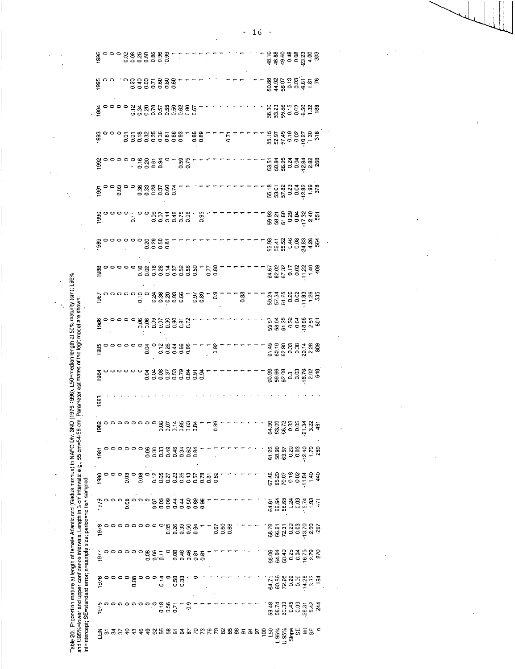| į<br>$\frac{1}{2}$<br>F. E.R. om Daramote<br>ת בבת הוהבה<br>$\overline{a}$<br>j<br>i<br>t<br>C<br>C<br>C<br>C<br>į                                                                                                                                                                                                                                                                                                                                                                                                                                       |
|----------------------------------------------------------------------------------------------------------------------------------------------------------------------------------------------------------------------------------------------------------------------------------------------------------------------------------------------------------------------------------------------------------------------------------------------------------------------------------------------------------------------------------------------------------|
| i<br>I<br>֖֖֖֖֖֧֖ׅ֧ׅ֖֧֧ׅ֧ׅ֧ׅ֧֧֪֧֪֧֧֧֚֚֚֚֚֚֚֚֚֚֚֚֚֚֚֚֚֚֚֚֚֚֚֚֚֡֝֝֬֓֞֝֓֞֝֬֓֞֝֬֓֞֝֬֓֞֝֬֞֝֬֝֬֝֬֝֬֝֬<br>allu U3376–lyvei alk<br>$\begin{aligned} \mathbf{H} &\mathbf{H} = \mathbf{H} \mathbf{H} \mathbf{H} \mathbf{H} \mathbf{H} \mathbf{H} \mathbf{H} \mathbf{H} \mathbf{H} \mathbf{H} \mathbf{H} \mathbf{H} \mathbf{H} \mathbf{H} \mathbf{H} \mathbf{H} \mathbf{H} \mathbf{H} \mathbf{H} \mathbf{H} \mathbf{H} \mathbf{H} \mathbf{H} \mathbf{H} \mathbf{H} \mathbf{H} \mathbf{H} \mathbf{H} \mathbf{H} \mathbf{H} \mathbf{H} \mathbf{H} \mathbf{H} \mathbf$ |

 $\mathcal{L}$ 

 $\bar{\lambda}$ 

 $\bar{\mathcal{A}}$ 

|                                                                        |      |  |  |  | 0000880088077<br>000000000                                                                                                                                                                                                |  |  |  |  |  |  |  |  |                                                                                                                                                                                                         |  |                                             |  |  |
|------------------------------------------------------------------------|------|--|--|--|---------------------------------------------------------------------------------------------------------------------------------------------------------------------------------------------------------------------------|--|--|--|--|--|--|--|--|---------------------------------------------------------------------------------------------------------------------------------------------------------------------------------------------------------|--|---------------------------------------------|--|--|
|                                                                        |      |  |  |  |                                                                                                                                                                                                                           |  |  |  |  |  |  |  |  | ្រី ដូច្រូន មិន មាន<br>- ក្នុង មិន មិន មិន                                                                                                                                                              |  |                                             |  |  |
|                                                                        |      |  |  |  |                                                                                                                                                                                                                           |  |  |  |  |  |  |  |  | ទី ដូន តូ តូ ខ្លួ មូ នី<br>មន្ត្រី ដូ តូ តូ តូ តូ តូ                                                                                                                                                    |  |                                             |  |  |
|                                                                        |      |  |  |  |                                                                                                                                                                                                                           |  |  |  |  |  |  |  |  | មិន មុខ ខេត្ត ខ្លួ<br>និង ២ ១ ១ ១ ១ ឌី                                                                                                                                                                  |  |                                             |  |  |
|                                                                        |      |  |  |  |                                                                                                                                                                                                                           |  |  |  |  |  |  |  |  | ភូងងូង៩ងូងឌួ<br>ជននិ                                                                                                                                                                                    |  |                                             |  |  |
|                                                                        |      |  |  |  | ㅎ ㅇㅇ영ㅇㅇ % % % % % % % < ㅜㅜ<br>후 ㅇㅇ영ㅇㅇ ㅎㅎㅎㅎㅎㅎㅎ                                                                                                                                                                             |  |  |  |  |  |  |  |  | 8<br>88838888<br>8869997                                                                                                                                                                                |  |                                             |  |  |
|                                                                        |      |  |  |  |                                                                                                                                                                                                                           |  |  |  |  |  |  |  |  |                                                                                                                                                                                                         |  | ន្លង្គន្លង្គន្លង្គ<br>ន្លង្គន្លង្គន្លង្គន្ល |  |  |
|                                                                        |      |  |  |  |                                                                                                                                                                                                                           |  |  |  |  |  |  |  |  | ន្ទ្រី ដូចខ្លួន និង<br>ប្រកប្ដូន ដូច                                                                                                                                                                    |  |                                             |  |  |
|                                                                        |      |  |  |  |                                                                                                                                                                                                                           |  |  |  |  |  |  |  |  |                                                                                                                                                                                                         |  |                                             |  |  |
|                                                                        |      |  |  |  |                                                                                                                                                                                                                           |  |  |  |  |  |  |  |  |                                                                                                                                                                                                         |  |                                             |  |  |
|                                                                        |      |  |  |  | 80000088858852555555555555                                                                                                                                                                                                |  |  |  |  |  |  |  |  | ត្តម្តងនីទ្ធីឆ្នាំ<br>ត្តនីទី១១ខ្ញុំងឺ                                                                                                                                                                  |  |                                             |  |  |
|                                                                        |      |  |  |  |                                                                                                                                                                                                                           |  |  |  |  |  |  |  |  | ទី១៩ដូច ។<br>សូម ១៩ ម៉ូ ។<br>សូម ១៩ ម៉ូ ។                                                                                                                                                               |  |                                             |  |  |
|                                                                        |      |  |  |  |                                                                                                                                                                                                                           |  |  |  |  |  |  |  |  |                                                                                                                                                                                                         |  |                                             |  |  |
|                                                                        | 1983 |  |  |  |                                                                                                                                                                                                                           |  |  |  |  |  |  |  |  |                                                                                                                                                                                                         |  |                                             |  |  |
|                                                                        |      |  |  |  |                                                                                                                                                                                                                           |  |  |  |  |  |  |  |  |                                                                                                                                                                                                         |  |                                             |  |  |
|                                                                        |      |  |  |  |                                                                                                                                                                                                                           |  |  |  |  |  |  |  |  |                                                                                                                                                                                                         |  |                                             |  |  |
|                                                                        |      |  |  |  |                                                                                                                                                                                                                           |  |  |  |  |  |  |  |  |                                                                                                                                                                                                         |  |                                             |  |  |
|                                                                        |      |  |  |  |                                                                                                                                                                                                                           |  |  |  |  |  |  |  |  |                                                                                                                                                                                                         |  |                                             |  |  |
|                                                                        |      |  |  |  | ္<br>စုပ္ပံု - နက္ထိကို စာဝဝဝဝဝ စုံ<br>မိုင္ပံု ၁၁၁၁၁                                                                                                                                                                     |  |  |  |  |  |  |  |  | ី ក្នុង ក្នុង ក្នុង ក្នុង ក្នុង ក្នុង ក្នុង ក្នុង ក្នុង ក្នុង ក្នុង ក្នុង ក្នុង ក្នុង<br>ស្រុក ក្នុង ក្នុង ក្នុង ក្នុង ក្នុង ក្នុង ក្នុង ក្នុង ក្នុង ក្នុង ក្នុង ក្នុង ក្នុង ក្នុង ក្នុង ក្នុង ក្នុង ក្ |  |                                             |  |  |
|                                                                        |      |  |  |  |                                                                                                                                                                                                                           |  |  |  |  |  |  |  |  |                                                                                                                                                                                                         |  |                                             |  |  |
|                                                                        |      |  |  |  | $\begin{array}{ccc} \mathfrak{g}\circ\circ\circ\circ\mathfrak{g}\circ\circ\circ\circ\mathfrak{g}\circ\mathfrak{g}\circ\pi\circ\circ \mathfrak{g} \ \mathfrak{g}\circ\circ\circ\circ\circ\circ\circ\circ\circ \end{array}$ |  |  |  |  |  |  |  |  |                                                                                                                                                                                                         |  |                                             |  |  |
|                                                                        |      |  |  |  |                                                                                                                                                                                                                           |  |  |  |  |  |  |  |  |                                                                                                                                                                                                         |  |                                             |  |  |
| nt=intercept; SE=standard error; n=sample size; period=no fish sampled |      |  |  |  |                                                                                                                                                                                                                           |  |  |  |  |  |  |  |  |                                                                                                                                                                                                         |  |                                             |  |  |

 $-16$  -

 $\epsilon$ 

 $\overline{1}$ 

 $\bar{z}$ 

 $\bar{z}$ 

 $\ddot{\phantom{0}}$ 

 $\epsilon$ 

 $\hat{\boldsymbol{\beta}}$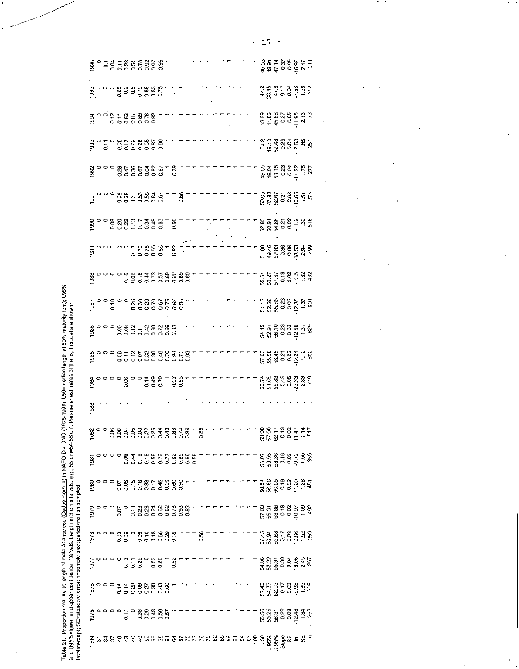| rable 21. Proportion mature at length of male Atlantic cod (Gadus mortua) in NAFO Div. 3NO (1975-1996). L50=median length at 50% maturity (cr<br>í |
|----------------------------------------------------------------------------------------------------------------------------------------------------|
| ō<br>G<br>and U95%=lower and upper confidence intervals. Length in 3 cm intervals: e.g., 55 cm=54-56 cm. Parameter estimates of the logit mode     |
| <b>TO SIZE, MEINUTIN, IIS</b><br>standard error; n=sample size; period=<br>$n$ ercept; $S$                                                         |

| 000 - 5000 - 5000 - 6000 - 6000 - 6000 - 6000 - 6000 - 6000 - 6000 - 6000 - 6000 - 6000 - 6000 - 6000 - 6000 -<br>000 - 6000 - 6000 - 6000 - 6000 - 6000 - 6000 - 6000 - 6000 - 6000 - 6000 - 6000 - 6000 - 6000 - 6000 - 6000 -<br>ភូគ ។ ភូមិ មិន មិន<br>ប្រភព ១ ភូមិ មិន<br>ក្នុង ភូមិ ក្នុង ក្នុង                                                                                    |  |
|-----------------------------------------------------------------------------------------------------------------------------------------------------------------------------------------------------------------------------------------------------------------------------------------------------------------------------------------------------------------------------------------|--|
| ត្តិ<br>ក្នុង ភូមិ ភូមិ ភូមិ ភូមិ ។<br>ត្តិ<br>$\begin{array}{ccccccc}\n2 & 4 & 3 & 5 & 5 & 6 & 8 & 2 \\ 4 & 6 & 4 & 5 & 6 & 6 & 7 & 7 \\ 5 & 6 & 6 & 6 & 7 & 7 & 8 & 8\n\end{array}$                                                                                                                                                                                                   |  |
| $\frac{3}{2}$<br>$\frac{3}{2}$ $\frac{3}{2}$ $\frac{3}{2}$ $\frac{3}{2}$ $\frac{3}{2}$ $\frac{3}{2}$ $\frac{3}{2}$ $\frac{3}{2}$ $\frac{3}{2}$ $\frac{3}{2}$ $\frac{3}{2}$ $\frac{3}{2}$ $\frac{3}{2}$ $\frac{3}{2}$ $\frac{3}{2}$ $\frac{3}{2}$ $\frac{3}{2}$ $\frac{3}{2}$ $\frac{3}{2}$ $\frac{3}{2}$ $\frac{3}{2}$<br>ន្លន្ទន្លង្គខ្លួន<br>ភ្នំដូង ១ ១ ក្នុង ២<br>ឆ្នាំ ១ ១ ក្នុង ២ |  |
| ីដូងនិង<br>និងមានដូច                                                                                                                                                                                                                                                                                                                                                                    |  |
| ដូង ក្នុង និង ដូ<br>មិន ក្នុង និង ដូច<br>មិន ក្នុង ដូច                                                                                                                                                                                                                                                                                                                                  |  |
| ង្គាន់<br>ក្នុងមាន់ ក្នុង<br>ក្នុងមាន់ ក្នុង                                                                                                                                                                                                                                                                                                                                            |  |
| ន្លត្តន្លន្ត ខ្លួន ម្ល<br>ន្លត្តន្ត្រី ខេត្ត ម្លឹង ម្លឹ                                                                                                                                                                                                                                                                                                                                 |  |
| ខ្លួន ខេត្ត ខ្លួន<br>កូន ខេត្ត ខ្លួន និង<br>កូន ខេត្ត                                                                                                                                                                                                                                                                                                                                   |  |
| ភ្លេង មាន មាន<br>ដូចទី មាន មាន អ្នក                                                                                                                                                                                                                                                                                                                                                     |  |
| ិ<br>ក្នុង ក្នុង ក្នុង ក្នុង ក្នុង<br>ក្នុង ក្នុង ក្នុង ក្នុង ក្នុង<br>ី ខេត្ត<br>ភិក្ខុមាន មិន មិន<br>ភិក្ខុង                                                                                                                                                                                                                                                                          |  |
| មុត ទុន្ម ខុន្ម គុន្ម<br>វិធី មុន ១ ខុម្ភី =                                                                                                                                                                                                                                                                                                                                            |  |
| ខិត្តទុក្ខខ្ពុំ ភូមិ<br>កូនី មិន ទី ភូមិ ភូមិ                                                                                                                                                                                                                                                                                                                                           |  |
| ក្កដូនទីទីនិង<br>ក្នុងមានដូច<br>ដូចទីខ្ពង់                                                                                                                                                                                                                                                                                                                                              |  |
| 383                                                                                                                                                                                                                                                                                                                                                                                     |  |
|                                                                                                                                                                                                                                                                                                                                                                                         |  |
|                                                                                                                                                                                                                                                                                                                                                                                         |  |
|                                                                                                                                                                                                                                                                                                                                                                                         |  |
|                                                                                                                                                                                                                                                                                                                                                                                         |  |
|                                                                                                                                                                                                                                                                                                                                                                                         |  |
|                                                                                                                                                                                                                                                                                                                                                                                         |  |
|                                                                                                                                                                                                                                                                                                                                                                                         |  |
|                                                                                                                                                                                                                                                                                                                                                                                         |  |
|                                                                                                                                                                                                                                                                                                                                                                                         |  |

 $-17$   $-$ 

**CONTRACTOR** 

 $- - - -$ 

 $\Delta\sigma_{\rm{eff}}$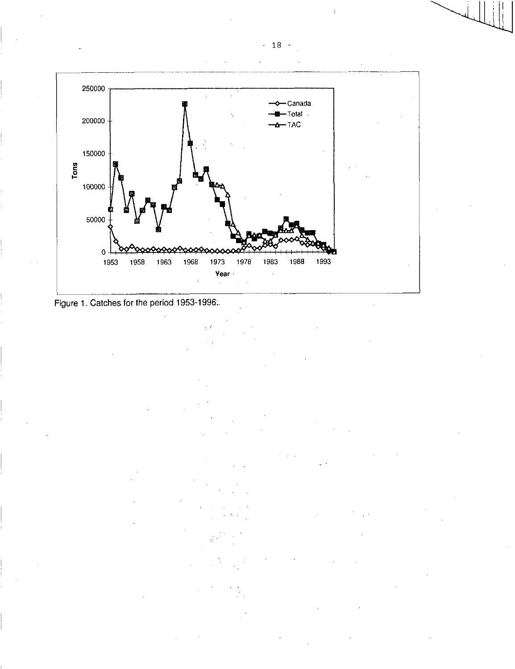



- 18 -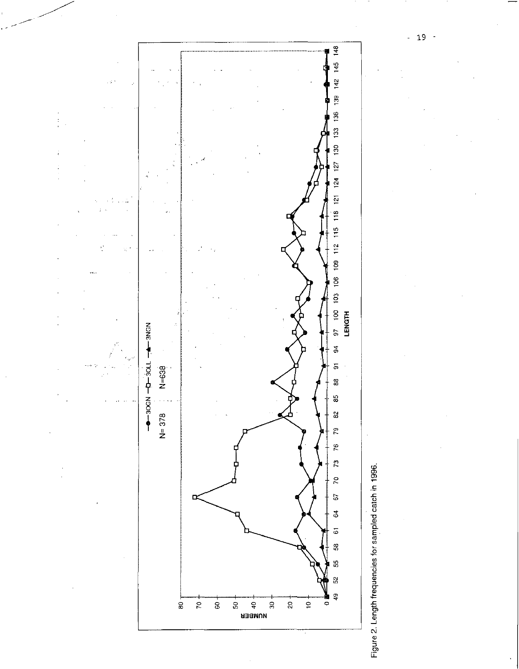



 $-19-$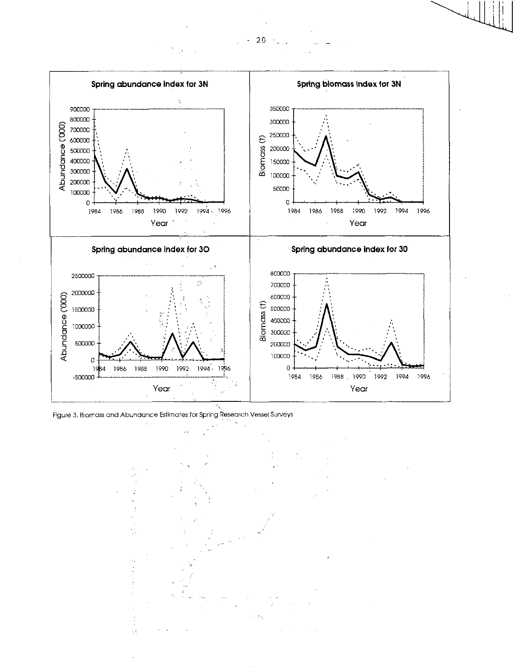

Figure 3, Biomass and Abundance Estimates for Spring Research Vessel Surveys



 $20$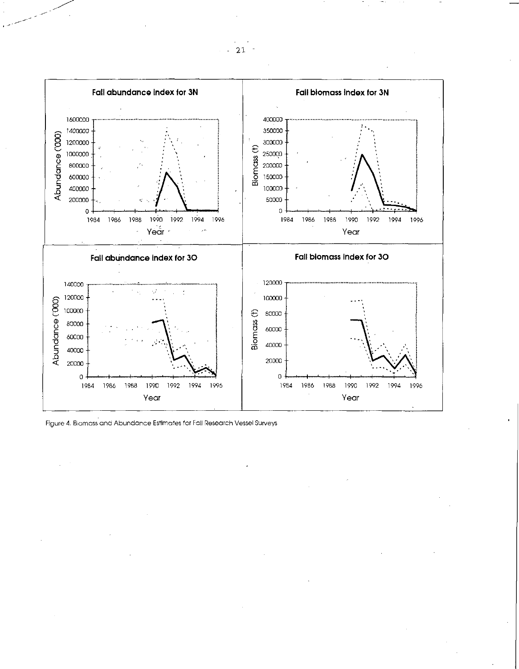

Figure 4. Biomass and Abundance Estimates for Fall Research Vessel Surveys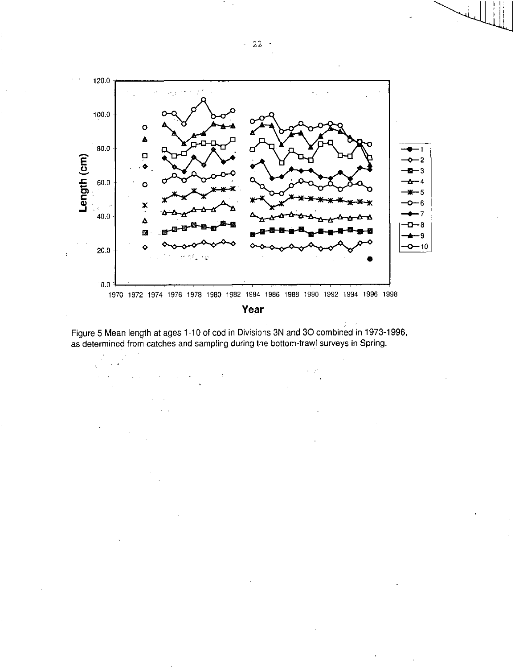

**Year** 

Figure 5 Mean length at ages 1-10 of cod in Divisions 3N and 30 combined in 1973-1996, as determined from catches and sampling during the bottom-trawl surveys in Spring.

l,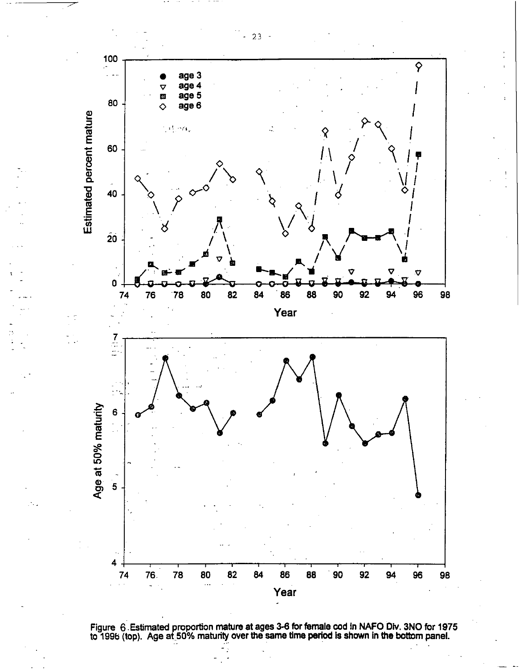

**Figure 6 Estimated proportion mature at ages 3-6 for female cod in NAFO Div. 3NO for 1975 to 1996 (top). Age at 50% maturity over the same time period Is shown in the bottom panel.** 

- 23 -